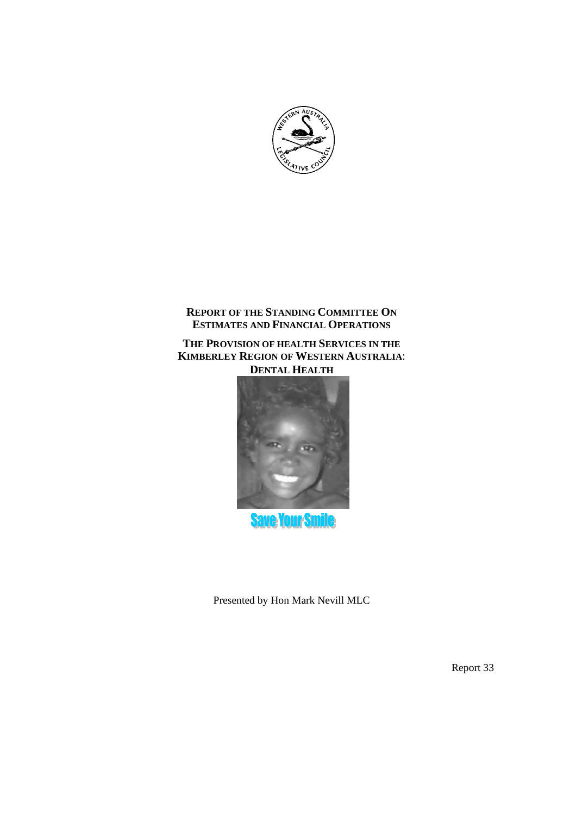

# **REPORT OF THE STANDING COMMITTEE ON ESTIMATES AND FINANCIAL OPERATIONS**

# **THE PROVISION OF HEALTH SERVICES IN THE KIMBERLEY REGION OF WESTERN AUSTRALIA**: **DENTAL HEALTH**



**Save Your Sm** 

Presented by Hon Mark Nevill MLC

Report 33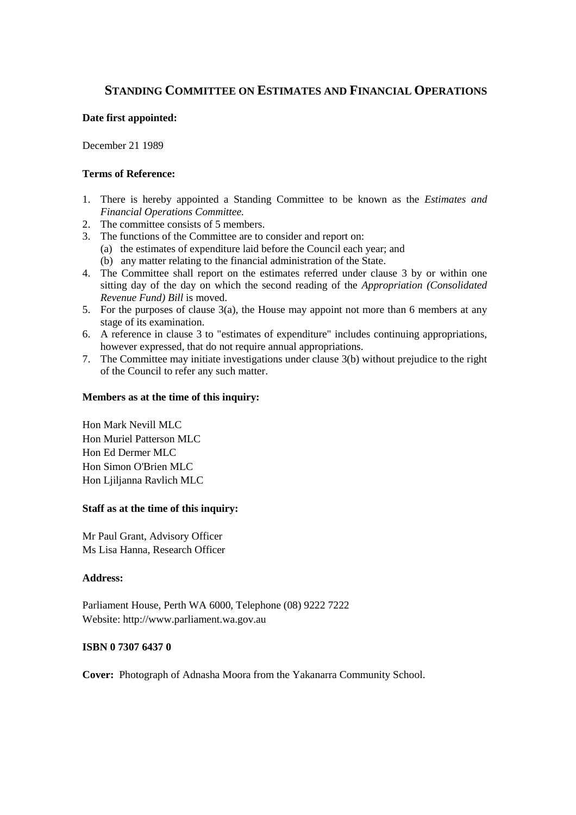# **STANDING COMMITTEE ON ESTIMATES AND FINANCIAL OPERATIONS**

## **Date first appointed:**

December 21 1989

# **Terms of Reference:**

- 1. There is hereby appointed a Standing Committee to be known as the *Estimates and Financial Operations Committee.*
- 2. The committee consists of 5 members.
- 3. The functions of the Committee are to consider and report on:
	- (a) the estimates of expenditure laid before the Council each year; and
	- (b) any matter relating to the financial administration of the State.
- 4. The Committee shall report on the estimates referred under clause 3 by or within one sitting day of the day on which the second reading of the *Appropriation (Consolidated Revenue Fund) Bill* is moved.
- 5. For the purposes of clause 3(a), the House may appoint not more than 6 members at any stage of its examination.
- 6. A reference in clause 3 to "estimates of expenditure" includes continuing appropriations, however expressed, that do not require annual appropriations.
- 7. The Committee may initiate investigations under clause 3(b) without prejudice to the right of the Council to refer any such matter.

## **Members as at the time of this inquiry:**

Hon Mark Nevill MLC Hon Muriel Patterson MLC Hon Ed Dermer MLC Hon Simon O'Brien MLC Hon Ljiljanna Ravlich MLC

# **Staff as at the time of this inquiry:**

Mr Paul Grant, Advisory Officer Ms Lisa Hanna, Research Officer

## **Address:**

Parliament House, Perth WA 6000, Telephone (08) 9222 7222 Website: http://www.parliament.wa.gov.au

## **ISBN 0 7307 6437 0**

**Cover:** Photograph of Adnasha Moora from the Yakanarra Community School.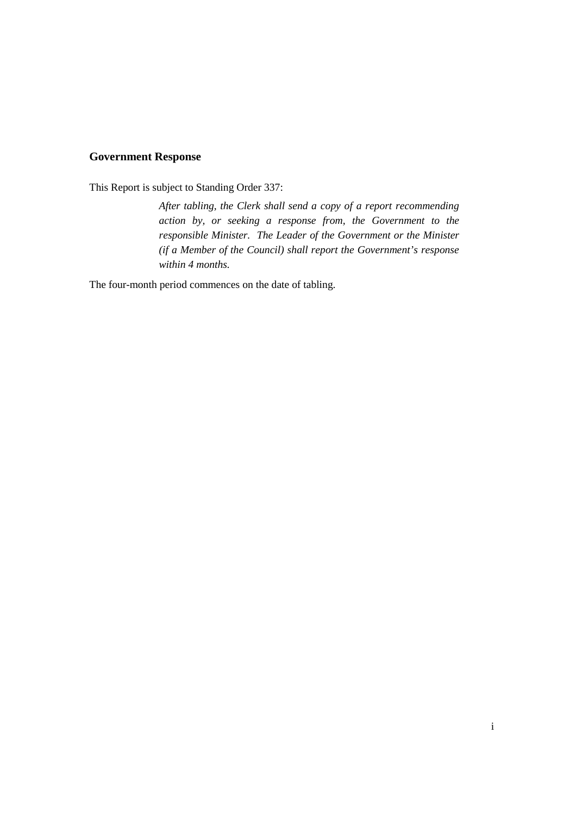# **Government Response**

This Report is subject to Standing Order 337:

*After tabling, the Clerk shall send a copy of a report recommending action by, or seeking a response from, the Government to the responsible Minister. The Leader of the Government or the Minister (if a Member of the Council) shall report the Government's response within 4 months.*

The four-month period commences on the date of tabling.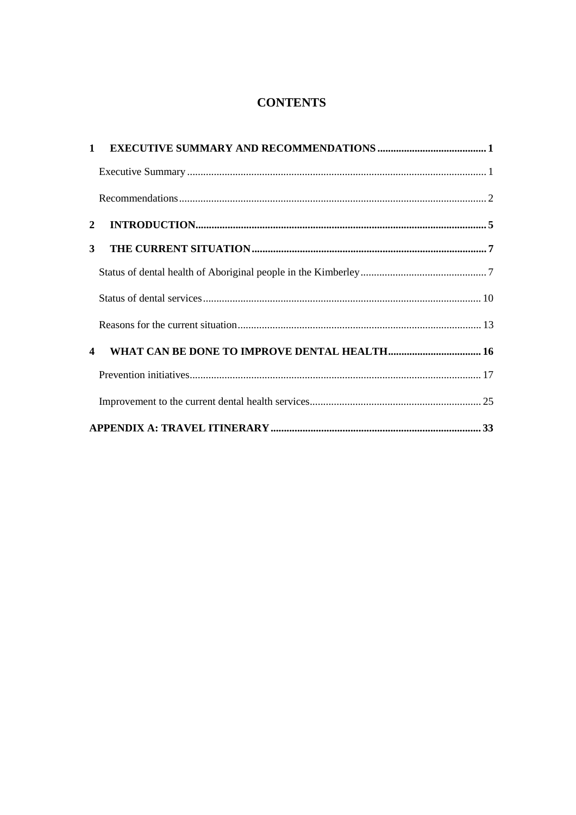# **CONTENTS**

| 2                |  |  |  |  |  |
|------------------|--|--|--|--|--|
| 3 <sup>1</sup>   |  |  |  |  |  |
|                  |  |  |  |  |  |
|                  |  |  |  |  |  |
|                  |  |  |  |  |  |
| $\boldsymbol{4}$ |  |  |  |  |  |
|                  |  |  |  |  |  |
|                  |  |  |  |  |  |
|                  |  |  |  |  |  |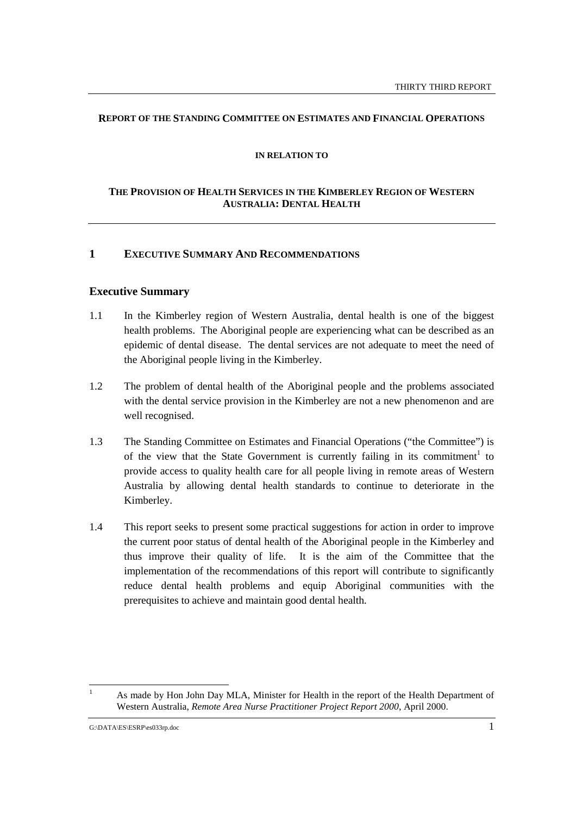## **REPORT OF THE STANDING COMMITTEE ON ESTIMATES AND FINANCIAL OPERATIONS**

#### **IN RELATION TO**

# **THE PROVISION OF HEALTH SERVICES IN THE KIMBERLEY REGION OF WESTERN AUSTRALIA: DENTAL HEALTH**

# **1 EXECUTIVE SUMMARY AND RECOMMENDATIONS**

# **Executive Summary**

- 1.1 In the Kimberley region of Western Australia, dental health is one of the biggest health problems. The Aboriginal people are experiencing what can be described as an epidemic of dental disease. The dental services are not adequate to meet the need of the Aboriginal people living in the Kimberley.
- 1.2 The problem of dental health of the Aboriginal people and the problems associated with the dental service provision in the Kimberley are not a new phenomenon and are well recognised.
- 1.3 The Standing Committee on Estimates and Financial Operations ("the Committee") is of the view that the State Government is currently failing in its commitment<sup>1</sup> to provide access to quality health care for all people living in remote areas of Western Australia by allowing dental health standards to continue to deteriorate in the Kimberley.
- 1.4 This report seeks to present some practical suggestions for action in order to improve the current poor status of dental health of the Aboriginal people in the Kimberley and thus improve their quality of life. It is the aim of the Committee that the implementation of the recommendations of this report will contribute to significantly reduce dental health problems and equip Aboriginal communities with the prerequisites to achieve and maintain good dental health.

 $\overline{a}$ 

<sup>1</sup> As made by Hon John Day MLA, Minister for Health in the report of the Health Department of Western Australia, *Remote Area Nurse Practitioner Project Report 2000*, April 2000.

G:\DATA\ES\ESRP\es033rp.doc 1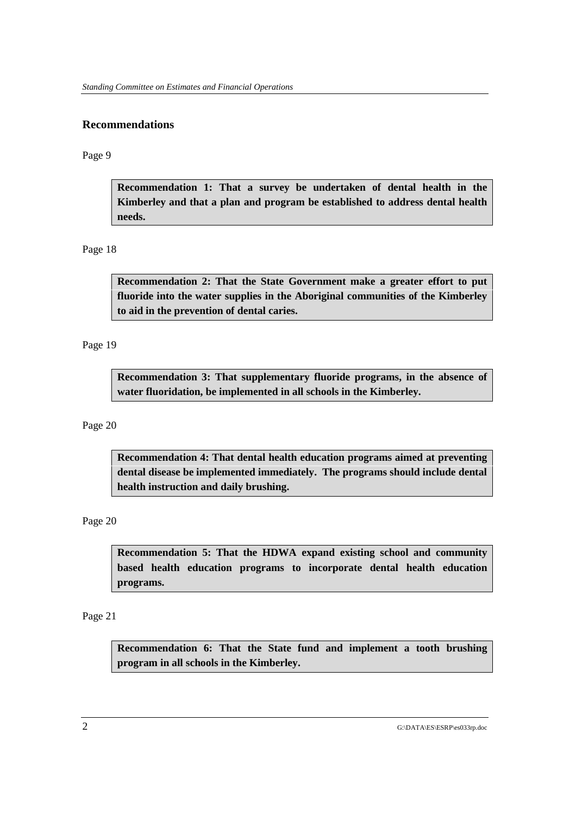# **Recommendations**

Page 9

**Recommendation 1: That a survey be undertaken of dental health in the Kimberley and that a plan and program be established to address dental health needs.**

# Page 18

**Recommendation 2: That the State Government make a greater effort to put fluoride into the water supplies in the Aboriginal communities of the Kimberley to aid in the prevention of dental caries.**

Page 19

**Recommendation 3: That supplementary fluoride programs, in the absence of water fluoridation, be implemented in all schools in the Kimberley.**

Page 20

**Recommendation 4: That dental health education programs aimed at preventing dental disease be implemented immediately. The programs should include dental health instruction and daily brushing.**

Page 20

**Recommendation 5: That the HDWA expand existing school and community based health education programs to incorporate dental health education programs.**

Page 21

**Recommendation 6: That the State fund and implement a tooth brushing program in all schools in the Kimberley.**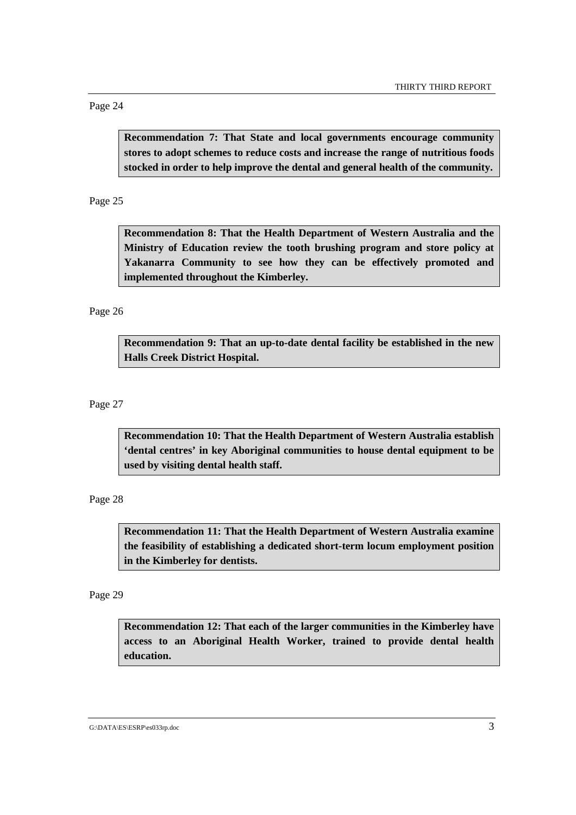Page 24

**Recommendation 7: That State and local governments encourage community stores to adopt schemes to reduce costs and increase the range of nutritious foods stocked in order to help improve the dental and general health of the community.**

Page 25

**Recommendation 8: That the Health Department of Western Australia and the Ministry of Education review the tooth brushing program and store policy at Yakanarra Community to see how they can be effectively promoted and implemented throughout the Kimberley.**

Page 26

**Recommendation 9: That an up-to-date dental facility be established in the new Halls Creek District Hospital.**

Page 27

**Recommendation 10: That the Health Department of Western Australia establish 'dental centres' in key Aboriginal communities to house dental equipment to be used by visiting dental health staff.**

Page 28

**Recommendation 11: That the Health Department of Western Australia examine the feasibility of establishing a dedicated short-term locum employment position in the Kimberley for dentists.**

Page 29

**Recommendation 12: That each of the larger communities in the Kimberley have access to an Aboriginal Health Worker, trained to provide dental health education.**

G:\DATA\ES\ESRP\es033rp.doc 3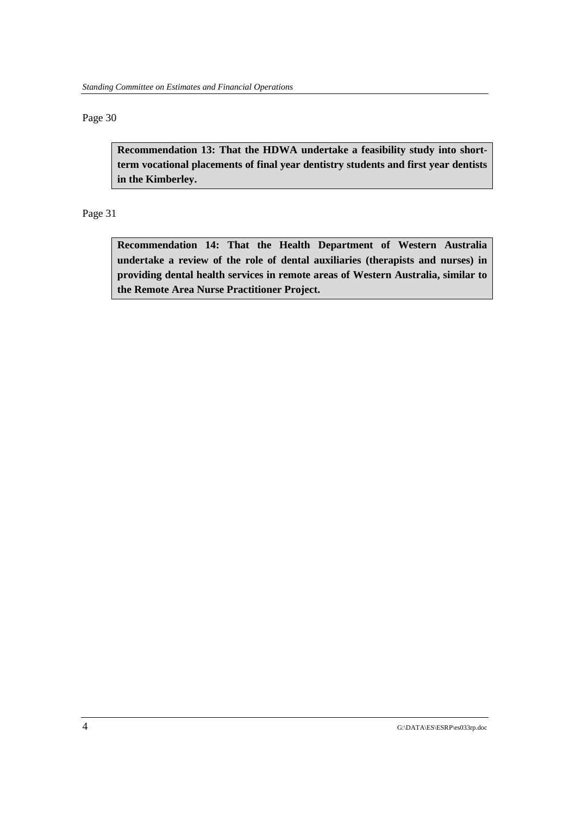# Page 30

**Recommendation 13: That the HDWA undertake a feasibility study into shortterm vocational placements of final year dentistry students and first year dentists in the Kimberley.**

Page 31

**Recommendation 14: That the Health Department of Western Australia undertake a review of the role of dental auxiliaries (therapists and nurses) in providing dental health services in remote areas of Western Australia, similar to the Remote Area Nurse Practitioner Project.**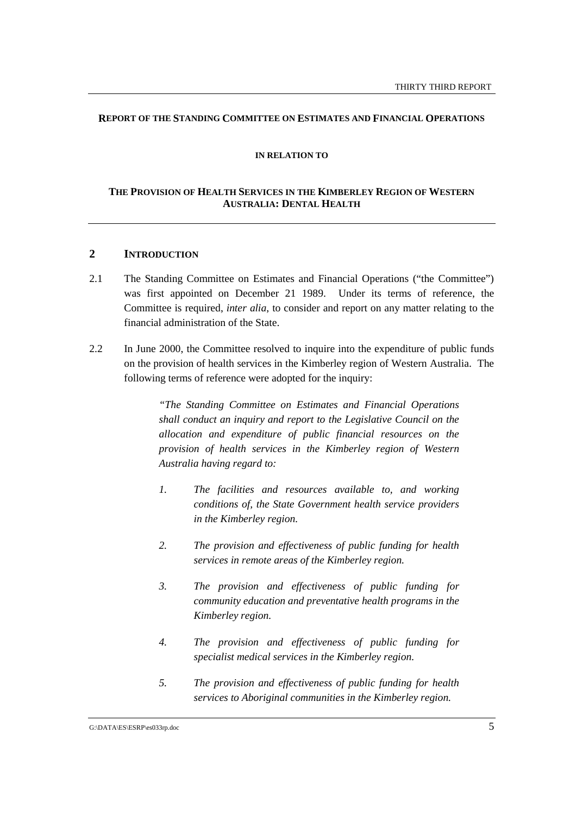## **REPORT OF THE STANDING COMMITTEE ON ESTIMATES AND FINANCIAL OPERATIONS**

#### **IN RELATION TO**

# **THE PROVISION OF HEALTH SERVICES IN THE KIMBERLEY REGION OF WESTERN AUSTRALIA: DENTAL HEALTH**

# **2 INTRODUCTION**

- 2.1 The Standing Committee on Estimates and Financial Operations ("the Committee") was first appointed on December 21 1989. Under its terms of reference, the Committee is required, *inter alia*, to consider and report on any matter relating to the financial administration of the State.
- 2.2 In June 2000, the Committee resolved to inquire into the expenditure of public funds on the provision of health services in the Kimberley region of Western Australia. The following terms of reference were adopted for the inquiry:

*"The Standing Committee on Estimates and Financial Operations shall conduct an inquiry and report to the Legislative Council on the allocation and expenditure of public financial resources on the provision of health services in the Kimberley region of Western Australia having regard to:*

- *1. The facilities and resources available to, and working conditions of, the State Government health service providers in the Kimberley region.*
- *2. The provision and effectiveness of public funding for health services in remote areas of the Kimberley region.*
- *3. The provision and effectiveness of public funding for community education and preventative health programs in the Kimberley region.*
- *4. The provision and effectiveness of public funding for specialist medical services in the Kimberley region.*
- *5. The provision and effectiveness of public funding for health services to Aboriginal communities in the Kimberley region.*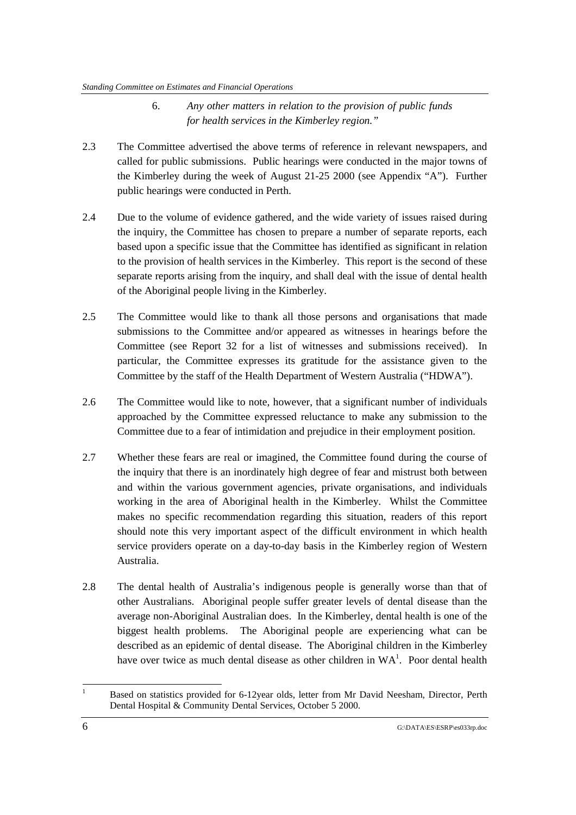- 6. *Any other matters in relation to the provision of public funds for health services in the Kimberley region."*
- 2.3 The Committee advertised the above terms of reference in relevant newspapers, and called for public submissions. Public hearings were conducted in the major towns of the Kimberley during the week of August 21-25 2000 (see Appendix "A"). Further public hearings were conducted in Perth.
- 2.4 Due to the volume of evidence gathered, and the wide variety of issues raised during the inquiry, the Committee has chosen to prepare a number of separate reports, each based upon a specific issue that the Committee has identified as significant in relation to the provision of health services in the Kimberley. This report is the second of these separate reports arising from the inquiry, and shall deal with the issue of dental health of the Aboriginal people living in the Kimberley.
- 2.5 The Committee would like to thank all those persons and organisations that made submissions to the Committee and/or appeared as witnesses in hearings before the Committee (see Report 32 for a list of witnesses and submissions received). In particular, the Committee expresses its gratitude for the assistance given to the Committee by the staff of the Health Department of Western Australia ("HDWA").
- 2.6 The Committee would like to note, however, that a significant number of individuals approached by the Committee expressed reluctance to make any submission to the Committee due to a fear of intimidation and prejudice in their employment position.
- 2.7 Whether these fears are real or imagined, the Committee found during the course of the inquiry that there is an inordinately high degree of fear and mistrust both between and within the various government agencies, private organisations, and individuals working in the area of Aboriginal health in the Kimberley. Whilst the Committee makes no specific recommendation regarding this situation, readers of this report should note this very important aspect of the difficult environment in which health service providers operate on a day-to-day basis in the Kimberley region of Western Australia.
- 2.8 The dental health of Australia's indigenous people is generally worse than that of other Australians. Aboriginal people suffer greater levels of dental disease than the average non-Aboriginal Australian does. In the Kimberley, dental health is one of the biggest health problems. The Aboriginal people are experiencing what can be described as an epidemic of dental disease. The Aboriginal children in the Kimberley have over twice as much dental disease as other children in  $WA<sup>1</sup>$ . Poor dental health

 $\frac{1}{1}$  Based on statistics provided for 6-12year olds, letter from Mr David Neesham, Director, Perth Dental Hospital & Community Dental Services, October 5 2000.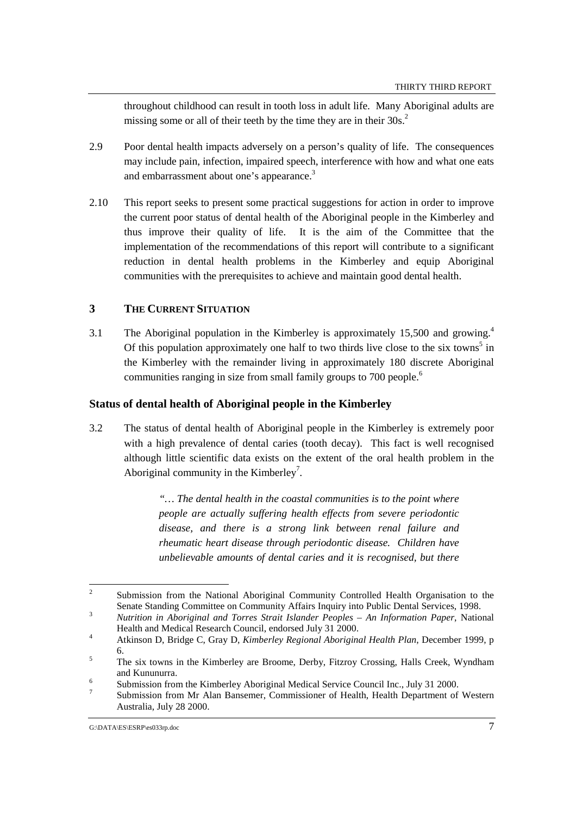throughout childhood can result in tooth loss in adult life. Many Aboriginal adults are missing some or all of their teeth by the time they are in their 30s.<sup>2</sup>

- 2.9 Poor dental health impacts adversely on a person's quality of life. The consequences may include pain, infection, impaired speech, interference with how and what one eats and embarrassment about one's appearance.<sup>3</sup>
- 2.10 This report seeks to present some practical suggestions for action in order to improve the current poor status of dental health of the Aboriginal people in the Kimberley and thus improve their quality of life. It is the aim of the Committee that the implementation of the recommendations of this report will contribute to a significant reduction in dental health problems in the Kimberley and equip Aboriginal communities with the prerequisites to achieve and maintain good dental health.

# **3 THE CURRENT SITUATION**

3.1 The Aboriginal population in the Kimberley is approximately 15,500 and growing.4 Of this population approximately one half to two thirds live close to the six towns<sup>5</sup> in the Kimberley with the remainder living in approximately 180 discrete Aboriginal communities ranging in size from small family groups to 700 people.<sup>6</sup>

# **Status of dental health of Aboriginal people in the Kimberley**

3.2 The status of dental health of Aboriginal people in the Kimberley is extremely poor with a high prevalence of dental caries (tooth decay). This fact is well recognised although little scientific data exists on the extent of the oral health problem in the Aboriginal community in the Kimberley<sup>7</sup>.

> *"… The dental health in the coastal communities is to the point where people are actually suffering health effects from severe periodontic disease, and there is a strong link between renal failure and rheumatic heart disease through periodontic disease. Children have unbelievable amounts of dental caries and it is recognised, but there*

 $\frac{1}{2}$  Submission from the National Aboriginal Community Controlled Health Organisation to the Senate Standing Committee on Community Affairs Inquiry into Public Dental Services, 1998. <sup>3</sup> *Nutrition in Aboriginal and Torres Strait Islander Peoples – An Information Paper*, National

Health and Medical Research Council, endorsed July 31 2000. <sup>4</sup>

Atkinson D, Bridge C, Gray D, *Kimberley Regional Aboriginal Health Plan*, December 1999, p  $\frac{6}{5}$ 

The six towns in the Kimberley are Broome, Derby, Fitzroy Crossing, Halls Creek, Wyndham and Kununurra.

Submission from the Kimberley Aboriginal Medical Service Council Inc., July 31 2000.

<sup>7</sup> Submission from Mr Alan Bansemer, Commissioner of Health, Health Department of Western Australia, July 28 2000.

G:\DATA\ES\ESRP\es033rp.doc 7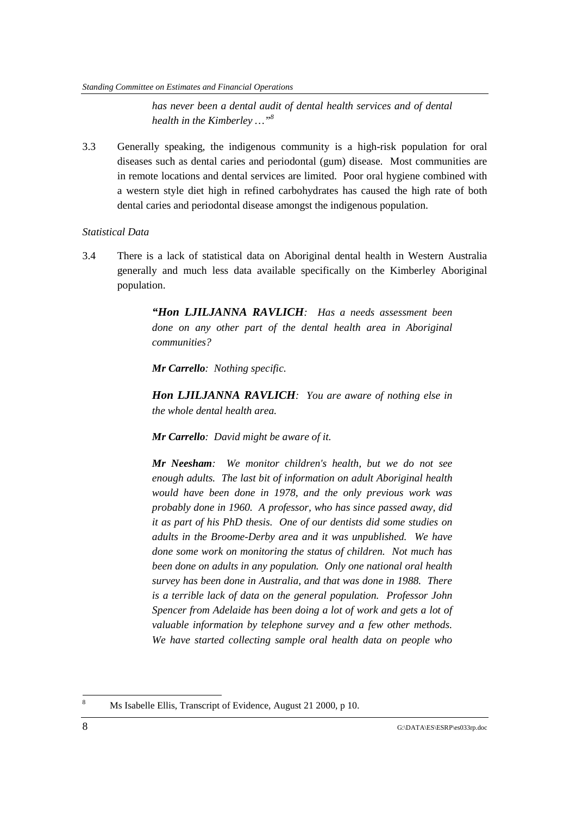#### *Standing Committee on Estimates and Financial Operations*

*has never been a dental audit of dental health services and of dental health in the Kimberley …"8*

3.3 Generally speaking, the indigenous community is a high-risk population for oral diseases such as dental caries and periodontal (gum) disease. Most communities are in remote locations and dental services are limited. Poor oral hygiene combined with a western style diet high in refined carbohydrates has caused the high rate of both dental caries and periodontal disease amongst the indigenous population.

# *Statistical Data*

3.4 There is a lack of statistical data on Aboriginal dental health in Western Australia generally and much less data available specifically on the Kimberley Aboriginal population.

> *"Hon LJILJANNA RAVLICH: Has a needs assessment been done on any other part of the dental health area in Aboriginal communities?*

*Mr Carrello: Nothing specific.*

*Hon LJILJANNA RAVLICH: You are aware of nothing else in the whole dental health area.*

*Mr Carrello: David might be aware of it.*

*Mr Neesham: We monitor children's health, but we do not see enough adults. The last bit of information on adult Aboriginal health would have been done in 1978, and the only previous work was probably done in 1960. A professor, who has since passed away, did it as part of his PhD thesis. One of our dentists did some studies on adults in the Broome-Derby area and it was unpublished. We have done some work on monitoring the status of children. Not much has been done on adults in any population. Only one national oral health survey has been done in Australia, and that was done in 1988. There is a terrible lack of data on the general population. Professor John Spencer from Adelaide has been doing a lot of work and gets a lot of valuable information by telephone survey and a few other methods. We have started collecting sample oral health data on people who*

 8 Ms Isabelle Ellis, Transcript of Evidence, August 21 2000, p 10.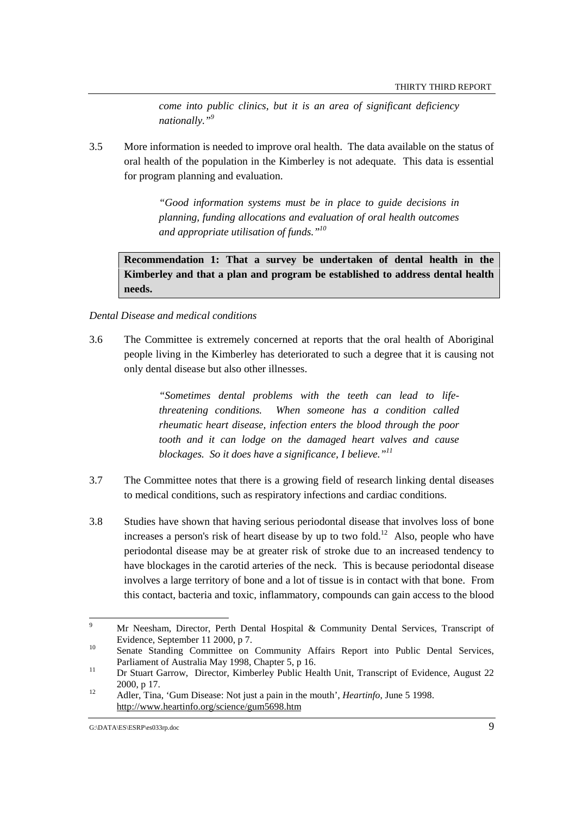*come into public clinics, but it is an area of significant deficiency nationally."9*

3.5 More information is needed to improve oral health. The data available on the status of oral health of the population in the Kimberley is not adequate. This data is essential for program planning and evaluation.

> *"Good information systems must be in place to guide decisions in planning, funding allocations and evaluation of oral health outcomes and appropriate utilisation of funds."10*

**Recommendation 1: That a survey be undertaken of dental health in the Kimberley and that a plan and program be established to address dental health needs.**

## *Dental Disease and medical conditions*

3.6 The Committee is extremely concerned at reports that the oral health of Aboriginal people living in the Kimberley has deteriorated to such a degree that it is causing not only dental disease but also other illnesses.

> *"Sometimes dental problems with the teeth can lead to lifethreatening conditions. When someone has a condition called rheumatic heart disease, infection enters the blood through the poor tooth and it can lodge on the damaged heart valves and cause blockages. So it does have a significance, I believe."11*

- 3.7 The Committee notes that there is a growing field of research linking dental diseases to medical conditions, such as respiratory infections and cardiac conditions.
- 3.8 Studies have shown that having serious periodontal disease that involves loss of bone increases a person's risk of heart disease by up to two fold.<sup>12</sup> Also, people who have periodontal disease may be at greater risk of stroke due to an increased tendency to have blockages in the carotid arteries of the neck. This is because periodontal disease involves a large territory of bone and a lot of tissue is in contact with that bone. From this contact, bacteria and toxic, inflammatory, compounds can gain access to the blood

<sup>-&</sup>lt;br>9 Mr Neesham, Director, Perth Dental Hospital & Community Dental Services, Transcript of Evidence, September 11 2000, p 7.<br>
Senate Standing Committee on Community Affairs Report into Public Dental Services,

Parliament of Australia May 1998, Chapter 5, p 16.<br><sup>11</sup> Dr Stuart Garrow, Director, Kimberley Public Health Unit, Transcript of Evidence, August 22

<sup>2000,</sup> p 17.<br><sup>12</sup> Adler, Tina, 'Gum Disease: Not just a pain in the mouth', *Heartinfo*, June 5 1998.

http://www.heartinfo.org/science/gum5698.htm

G:\DATA\ES\ESRP\es033rp.doc 9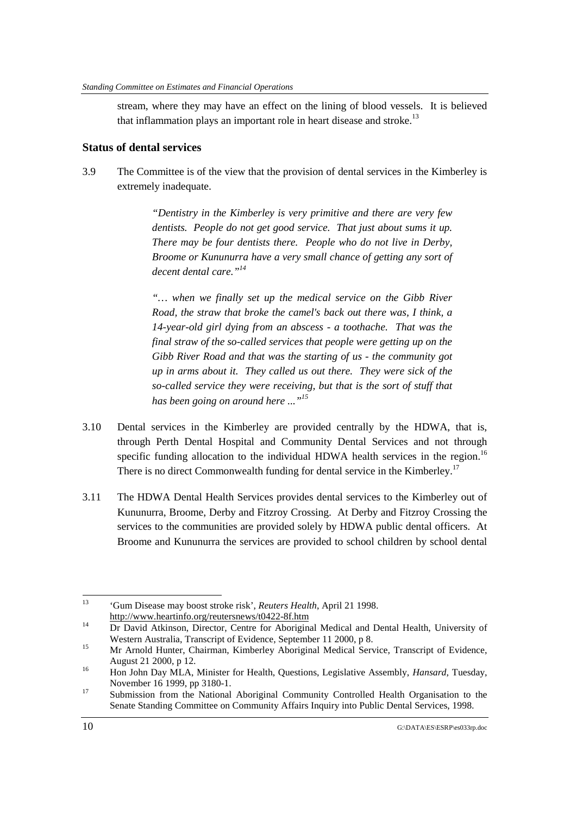stream, where they may have an effect on the lining of blood vessels. It is believed that inflammation plays an important role in heart disease and stroke. $^{13}$ 

# **Status of dental services**

3.9 The Committee is of the view that the provision of dental services in the Kimberley is extremely inadequate.

> *"Dentistry in the Kimberley is very primitive and there are very few dentists. People do not get good service. That just about sums it up. There may be four dentists there. People who do not live in Derby, Broome or Kununurra have a very small chance of getting any sort of decent dental care."14*

> *"… when we finally set up the medical service on the Gibb River Road, the straw that broke the camel's back out there was, I think, a 14-year-old girl dying from an abscess - a toothache. That was the final straw of the so-called services that people were getting up on the Gibb River Road and that was the starting of us - the community got up in arms about it. They called us out there. They were sick of the so-called service they were receiving, but that is the sort of stuff that has been going on around here ..."15*

- 3.10 Dental services in the Kimberley are provided centrally by the HDWA, that is, through Perth Dental Hospital and Community Dental Services and not through specific funding allocation to the individual HDWA health services in the region.<sup>16</sup> There is no direct Commonwealth funding for dental service in the Kimberley.<sup>17</sup>
- 3.11 The HDWA Dental Health Services provides dental services to the Kimberley out of Kununurra, Broome, Derby and Fitzroy Crossing. At Derby and Fitzroy Crossing the services to the communities are provided solely by HDWA public dental officers. At Broome and Kununurra the services are provided to school children by school dental

 $13$ <sup>13</sup> 'Gum Disease may boost stroke risk', *Reuters Health*, April 21 1998.

http://www.heartinfo.org/reutersnews/t0422-8f.htm<br>Dr David Atkinson, Director, Centre for Aboriginal Medical and Dental Health, University of Western Australia, Transcript of Evidence, September 11 2000, p 8.<br>15 Mr Arnold Hunter, Chairman, Kimberley Aboriginal Medical Service, Transcript of Evidence,

August 21 2000, p 12.<br><sup>16</sup> Hon John Day MLA, Minister for Health, Questions, Legislative Assembly, *Hansard*, Tuesday,

November 16 1999, pp 3180-1.<br>
<sup>17</sup> Submission from the National Aboriginal Community Controlled Health Organisation to the

Senate Standing Committee on Community Affairs Inquiry into Public Dental Services, 1998.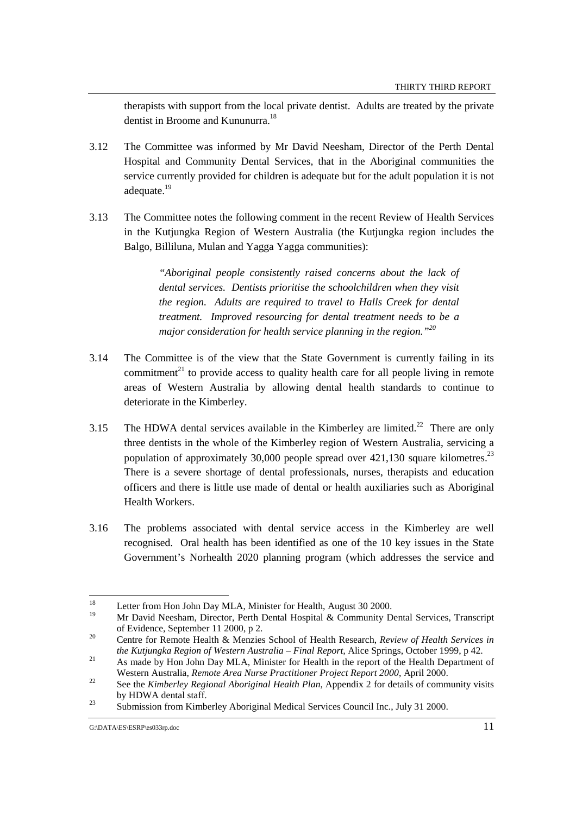therapists with support from the local private dentist. Adults are treated by the private dentist in Broome and Kununurra.<sup>18</sup>

- 3.12 The Committee was informed by Mr David Neesham, Director of the Perth Dental Hospital and Community Dental Services, that in the Aboriginal communities the service currently provided for children is adequate but for the adult population it is not adequate.<sup>19</sup>
- 3.13 The Committee notes the following comment in the recent Review of Health Services in the Kutjungka Region of Western Australia (the Kutjungka region includes the Balgo, Billiluna, Mulan and Yagga Yagga communities):

*"Aboriginal people consistently raised concerns about the lack of dental services. Dentists prioritise the schoolchildren when they visit the region. Adults are required to travel to Halls Creek for dental treatment. Improved resourcing for dental treatment needs to be a major consideration for health service planning in the region."20*

- 3.14 The Committee is of the view that the State Government is currently failing in its commitment<sup>21</sup> to provide access to quality health care for all people living in remote areas of Western Australia by allowing dental health standards to continue to deteriorate in the Kimberley.
- 3.15 The HDWA dental services available in the Kimberley are limited.<sup>22</sup> There are only three dentists in the whole of the Kimberley region of Western Australia, servicing a population of approximately 30,000 people spread over  $421,130$  square kilometres.<sup>23</sup> There is a severe shortage of dental professionals, nurses, therapists and education officers and there is little use made of dental or health auxiliaries such as Aboriginal Health Workers.
- 3.16 The problems associated with dental service access in the Kimberley are well recognised. Oral health has been identified as one of the 10 key issues in the State Government's Norhealth 2020 planning program (which addresses the service and

<sup>18</sup> <sup>18</sup> Letter from Hon John Day MLA, Minister for Health, August 30 2000.

<sup>19</sup> Mr David Neesham, Director, Perth Dental Hospital & Community Dental Services, Transcript of Evidence, September 11 2000, p 2. 20 Centre for Remote Health & Menzies School of Health Research, *Review of Health Services in*

*the Kutjungka Region of Western Australia – Final Report, Alice Springs, October 1999, p 42.*<br><sup>21</sup> As made by Hon John Day MLA, Minister for Health in the report of the Health Department of

Western Australia, *Remote Area Nurse Practitioner Project Report 2000*, April 2000. 22 See the *Kimberley Regional Aboriginal Health Plan*, Appendix 2 for details of community visits

by HDWA dental staff.<br><sup>23</sup> Submission from Kimberley Aboriginal Medical Services Council Inc., July 31 2000.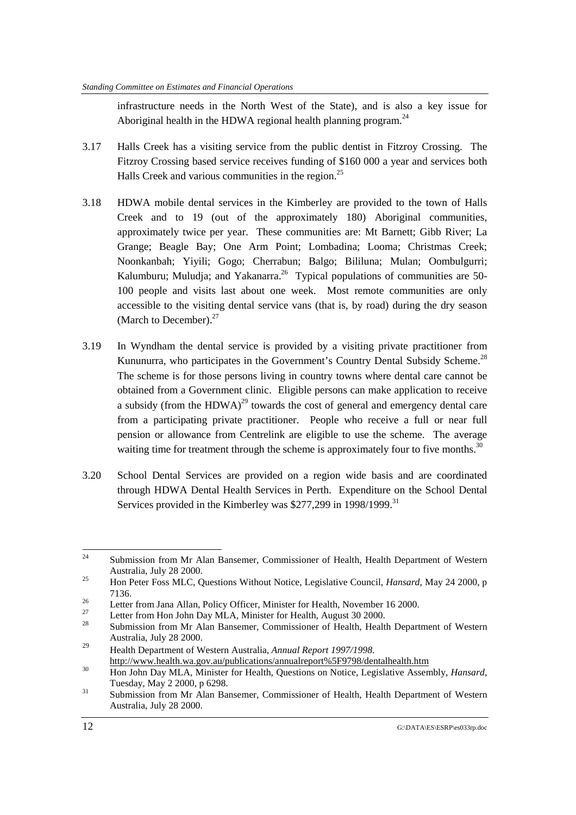infrastructure needs in the North West of the State), and is also a key issue for Aboriginal health in the HDWA regional health planning program.<sup>24</sup>

- 3.17 Halls Creek has a visiting service from the public dentist in Fitzroy Crossing. The Fitzroy Crossing based service receives funding of \$160 000 a year and services both Halls Creek and various communities in the region.<sup>25</sup>
- 3.18 HDWA mobile dental services in the Kimberley are provided to the town of Halls Creek and to 19 (out of the approximately 180) Aboriginal communities, approximately twice per year. These communities are: Mt Barnett; Gibb River; La Grange; Beagle Bay; One Arm Point; Lombadina; Looma; Christmas Creek; Noonkanbah; Yiyili; Gogo; Cherrabun; Balgo; Bililuna; Mulan; Oombulgurri; Kalumburu; Muludja; and Yakanarra.<sup>26</sup> Typical populations of communities are 50-100 people and visits last about one week. Most remote communities are only accessible to the visiting dental service vans (that is, by road) during the dry season (March to December). $27$
- 3.19 In Wyndham the dental service is provided by a visiting private practitioner from Kununurra, who participates in the Government's Country Dental Subsidy Scheme.<sup>28</sup> The scheme is for those persons living in country towns where dental care cannot be obtained from a Government clinic. Eligible persons can make application to receive a subsidy (from the HDWA)<sup>29</sup> towards the cost of general and emergency dental care from a participating private practitioner. People who receive a full or near full pension or allowance from Centrelink are eligible to use the scheme. The average waiting time for treatment through the scheme is approximately four to five months.<sup>30</sup>
- 3.20 School Dental Services are provided on a region wide basis and are coordinated through HDWA Dental Health Services in Perth. Expenditure on the School Dental Services provided in the Kimberley was  $$277,299$  in  $1998/1999$ <sup>31</sup>

 $24$ Submission from Mr Alan Bansemer, Commissioner of Health, Health Department of Western Australia, July 28 2000.

<sup>&</sup>lt;sup>25</sup> Hon Peter Foss MLC, Questions Without Notice, Legislative Council, *Hansard*, May 24 2000, p 7136. 26 Letter from Jana Allan, Policy Officer, Minister for Health, November 16 2000.

<sup>&</sup>lt;sup>27</sup> Letter from Hon John Day MLA, Minister for Health, August 30 2000.

Submission from Mr Alan Bansemer, Commissioner of Health, Health Department of Western Australia, July 28 2000.

<sup>29</sup> Health Department of Western Australia, *Annual Report 1997/1998.* http://www.health.wa.gov.au/publications/annualreport%5F9798/dentalhealth.htm<br>30 Hon John Day MLA, Minister for Health, Questions on Notice, Legislative Assembly, *Hansard*,

Tuesday, May 2 2000, p 6298.<br>
Submission from Mr Alan Bansemer, Commissioner of Health, Health Department of Western

Australia, July 28 2000.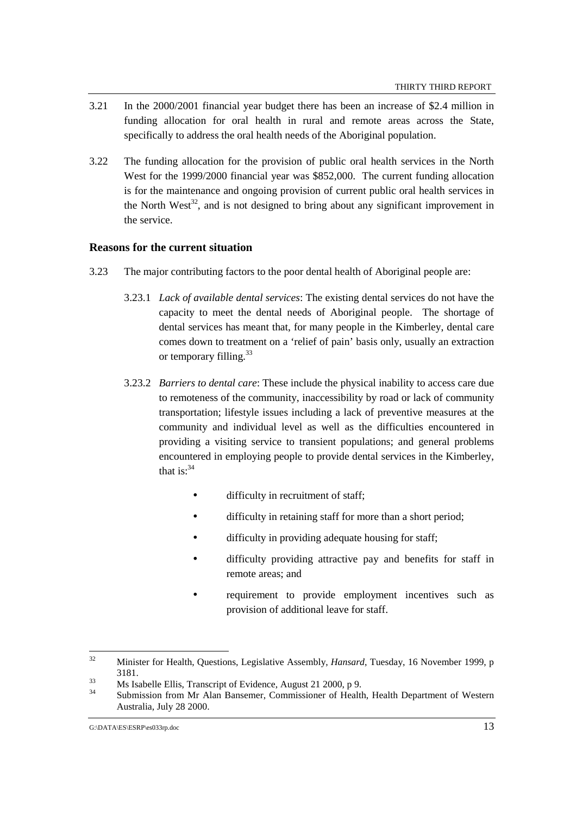- 3.21 In the 2000/2001 financial year budget there has been an increase of \$2.4 million in funding allocation for oral health in rural and remote areas across the State, specifically to address the oral health needs of the Aboriginal population.
- 3.22 The funding allocation for the provision of public oral health services in the North West for the 1999/2000 financial year was \$852,000. The current funding allocation is for the maintenance and ongoing provision of current public oral health services in the North West<sup>32</sup>, and is not designed to bring about any significant improvement in the service.

# **Reasons for the current situation**

- 3.23 The major contributing factors to the poor dental health of Aboriginal people are:
	- 3.23.1 *Lack of available dental services*: The existing dental services do not have the capacity to meet the dental needs of Aboriginal people. The shortage of dental services has meant that, for many people in the Kimberley, dental care comes down to treatment on a 'relief of pain' basis only, usually an extraction or temporary filling. $33$
	- 3.23.2 *Barriers to dental care*: These include the physical inability to access care due to remoteness of the community, inaccessibility by road or lack of community transportation; lifestyle issues including a lack of preventive measures at the community and individual level as well as the difficulties encountered in providing a visiting service to transient populations; and general problems encountered in employing people to provide dental services in the Kimberley, that is: $34$ 
		- difficulty in recruitment of staff;
		- difficulty in retaining staff for more than a short period;
		- difficulty in providing adequate housing for staff;
		- difficulty providing attractive pay and benefits for staff in remote areas; and
		- requirement to provide employment incentives such as provision of additional leave for staff.

 $32$ 32 Minister for Health, Questions, Legislative Assembly, *Hansard*, Tuesday, 16 November 1999, p 3181.<br>
33 Ms Isabelle Ellis, Transcript of Evidence, August 21 2000, p 9.<br>
34 Submission from Mr. Alan Bonsomer, Commissioner of Health

<sup>34</sup> Submission from Mr Alan Bansemer, Commissioner of Health, Health Department of Western Australia, July 28 2000.

G:\DATA\ES\ESRP\es033rp.doc 13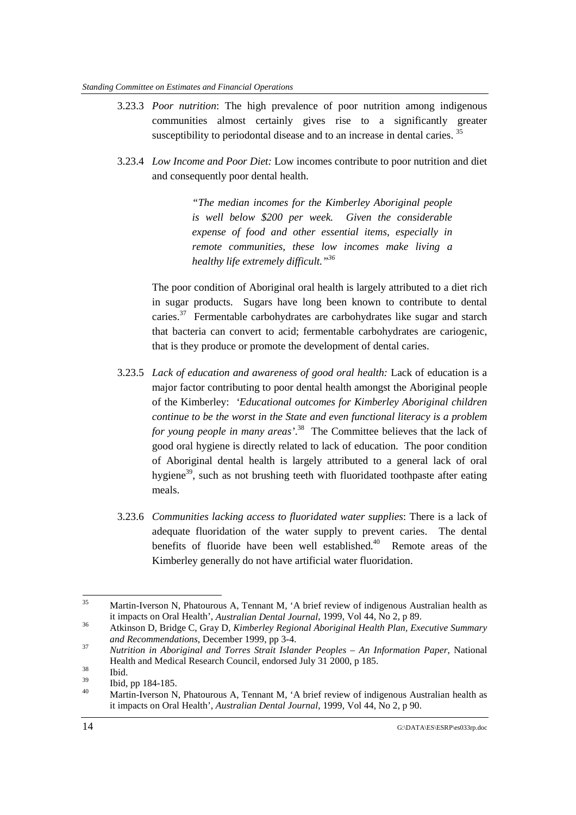#### *Standing Committee on Estimates and Financial Operations*

- 3.23.3 *Poor nutrition*: The high prevalence of poor nutrition among indigenous communities almost certainly gives rise to a significantly greater susceptibility to periodontal disease and to an increase in dental caries.<sup>35</sup>
- 3.23.4 *Low Income and Poor Diet:* Low incomes contribute to poor nutrition and diet and consequently poor dental health.

*"The median incomes for the Kimberley Aboriginal people is well below \$200 per week. Given the considerable expense of food and other essential items, especially in remote communities, these low incomes make living a healthy life extremely difficult."36*

The poor condition of Aboriginal oral health is largely attributed to a diet rich in sugar products. Sugars have long been known to contribute to dental caries. $37$  Fermentable carbohydrates are carbohydrates like sugar and starch that bacteria can convert to acid; fermentable carbohydrates are cariogenic, that is they produce or promote the development of dental caries.

- 3.23.5 *Lack of education and awareness of good oral health:* Lack of education is a major factor contributing to poor dental health amongst the Aboriginal people of the Kimberley: *'Educational outcomes for Kimberley Aboriginal children continue to be the worst in the State and even functional literacy is a problem for young people in many areas'*. 38 The Committee believes that the lack of good oral hygiene is directly related to lack of education. The poor condition of Aboriginal dental health is largely attributed to a general lack of oral hygiene<sup>39</sup>, such as not brushing teeth with fluoridated toothpaste after eating meals.
- 3.23.6 *Communities lacking access to fluoridated water supplies*: There is a lack of adequate fluoridation of the water supply to prevent caries. The dental benefits of fluoride have been well established. $40$  Remote areas of the Kimberley generally do not have artificial water fluoridation.

<sup>35</sup> 35 Martin-Iverson N, Phatourous A, Tennant M, 'A brief review of indigenous Australian health as

it impacts on Oral Health', *Australian Dental Journal*, 1999, Vol 44, No 2, p 89.<br>Atkinson D, Bridge C, Gray D, *Kimberley Regional Aboriginal Health Plan, Executive Summary*<br>*and Recommendations*, December 1999, pp 3-4.

*and Recommendations*, December 1999, pp 3-4. <sup>37</sup> *Nutrition in Aboriginal and Torres Strait Islander Peoples – An Information Paper*, National Health and Medical Research Council, endorsed July 31 2000, p 185.<br>
Ibid.<br>  $\frac{38}{139}$  Ibid.

 $\frac{39}{40}$  Ibid, pp 184-185.

Martin-Iverson N, Phatourous A, Tennant M, 'A brief review of indigenous Australian health as it impacts on Oral Health', *Australian Dental Journal*, 1999, Vol 44, No 2, p 90.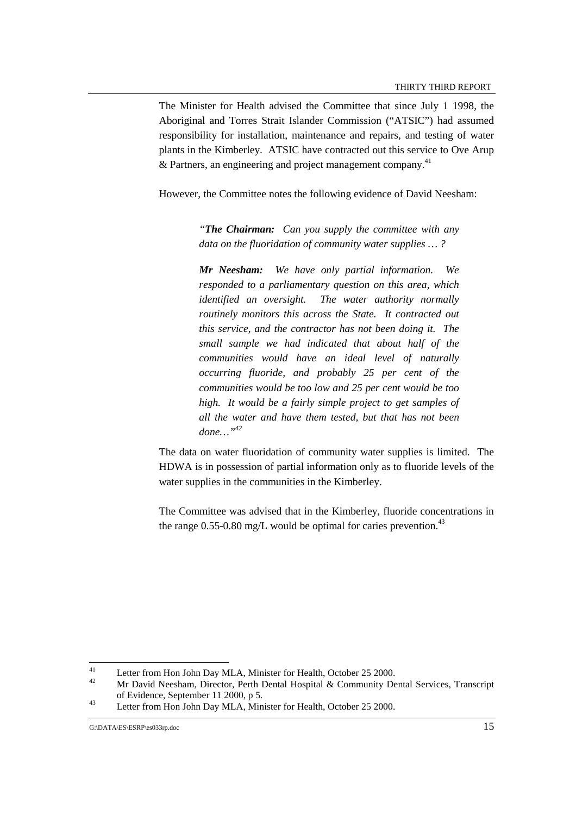The Minister for Health advised the Committee that since July 1 1998, the Aboriginal and Torres Strait Islander Commission ("ATSIC") had assumed responsibility for installation, maintenance and repairs, and testing of water plants in the Kimberley. ATSIC have contracted out this service to Ove Arup & Partners, an engineering and project management company.<sup>41</sup>

However, the Committee notes the following evidence of David Neesham:

*"The Chairman: Can you supply the committee with any data on the fluoridation of community water supplies … ?*

*Mr Neesham: We have only partial information. We responded to a parliamentary question on this area, which identified an oversight. The water authority normally routinely monitors this across the State. It contracted out this service, and the contractor has not been doing it. The small sample we had indicated that about half of the communities would have an ideal level of naturally occurring fluoride, and probably 25 per cent of the communities would be too low and 25 per cent would be too high. It would be a fairly simple project to get samples of all the water and have them tested, but that has not been done…"42*

The data on water fluoridation of community water supplies is limited. The HDWA is in possession of partial information only as to fluoride levels of the water supplies in the communities in the Kimberley.

The Committee was advised that in the Kimberley, fluoride concentrations in the range  $0.55$ -0.80 mg/L would be optimal for caries prevention.<sup>43</sup>

 $\overline{41}$ <sup>41</sup> Letter from Hon John Day MLA, Minister for Health, October 25 2000.

Mr David Neesham, Director, Perth Dental Hospital & Community Dental Services, Transcript of Evidence, September 11 2000, p 5.<br>
43 Letter from Hon John Day MLA, Minister for Health, October 25 2000.

G:\DATA\ES\ESRP\es033rp.doc 15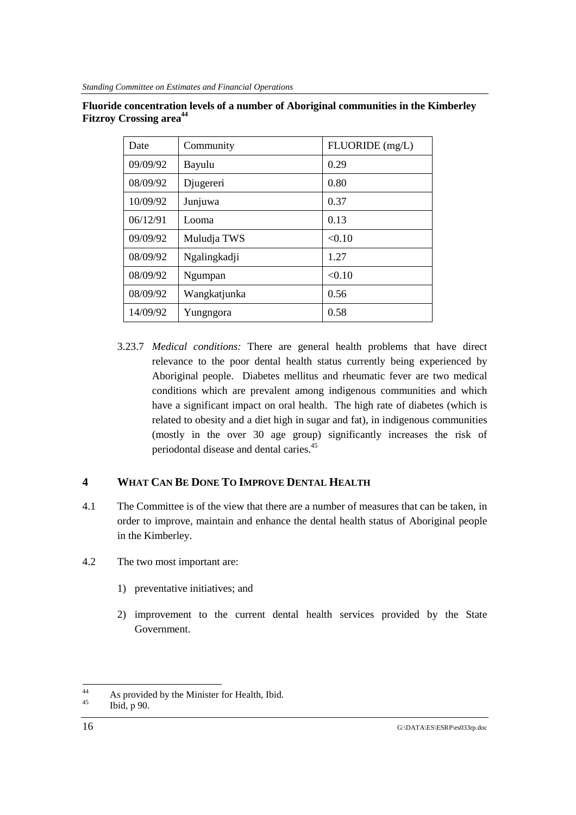# **Fluoride concentration levels of a number of Aboriginal communities in the Kimberley Fitzroy Crossing area<sup>44</sup>**

| Date     | Community    | FLUORIDE (mg/L) |
|----------|--------------|-----------------|
| 09/09/92 | Bayulu       | 0.29            |
| 08/09/92 | Djugereri    | 0.80            |
| 10/09/92 | Junjuwa      | 0.37            |
| 06/12/91 | Looma        | 0.13            |
| 09/09/92 | Muludja TWS  | < 0.10          |
| 08/09/92 | Ngalingkadji | 1.27            |
| 08/09/92 | Ngumpan      | < 0.10          |
| 08/09/92 | Wangkatjunka | 0.56            |
| 14/09/92 | Yungngora    | 0.58            |

3.23.7 *Medical conditions:* There are general health problems that have direct relevance to the poor dental health status currently being experienced by Aboriginal people. Diabetes mellitus and rheumatic fever are two medical conditions which are prevalent among indigenous communities and which have a significant impact on oral health. The high rate of diabetes (which is related to obesity and a diet high in sugar and fat), in indigenous communities (mostly in the over 30 age group) significantly increases the risk of periodontal disease and dental caries.45

# **4 WHAT CAN BE DONE TO IMPROVE DENTAL HEALTH**

- 4.1 The Committee is of the view that there are a number of measures that can be taken, in order to improve, maintain and enhance the dental health status of Aboriginal people in the Kimberley.
- 4.2 The two most important are:
	- 1) preventative initiatives; and
	- 2) improvement to the current dental health services provided by the State Government.

 $44$ <sup>44</sup> As provided by the Minister for Health, Ibid.

Ibid, p 90.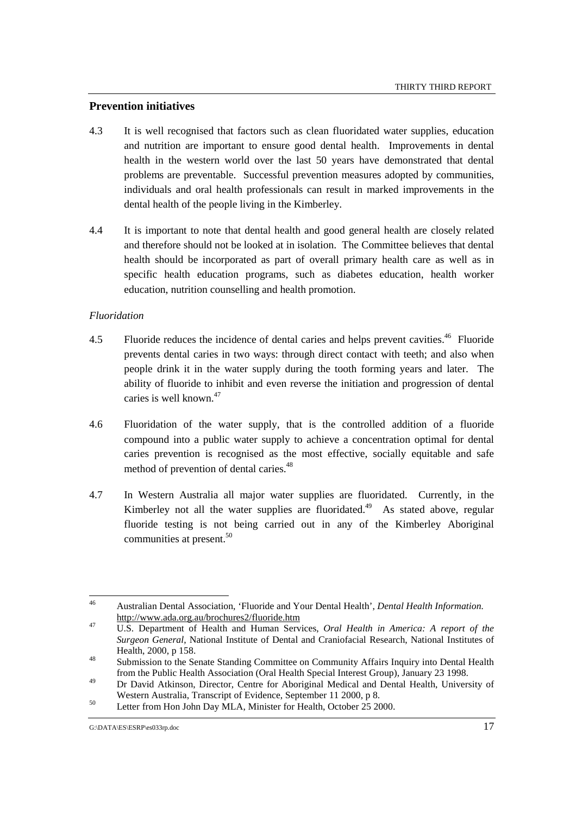# **Prevention initiatives**

- 4.3 It is well recognised that factors such as clean fluoridated water supplies, education and nutrition are important to ensure good dental health. Improvements in dental health in the western world over the last 50 years have demonstrated that dental problems are preventable. Successful prevention measures adopted by communities, individuals and oral health professionals can result in marked improvements in the dental health of the people living in the Kimberley.
- 4.4 It is important to note that dental health and good general health are closely related and therefore should not be looked at in isolation. The Committee believes that dental health should be incorporated as part of overall primary health care as well as in specific health education programs, such as diabetes education, health worker education, nutrition counselling and health promotion.

# *Fluoridation*

- 4.5 Fluoride reduces the incidence of dental caries and helps prevent cavities.<sup>46</sup> Fluoride prevents dental caries in two ways: through direct contact with teeth; and also when people drink it in the water supply during the tooth forming years and later. The ability of fluoride to inhibit and even reverse the initiation and progression of dental caries is well known.<sup>47</sup>
- 4.6 Fluoridation of the water supply, that is the controlled addition of a fluoride compound into a public water supply to achieve a concentration optimal for dental caries prevention is recognised as the most effective, socially equitable and safe method of prevention of dental caries.<sup>48</sup>
- 4.7 In Western Australia all major water supplies are fluoridated. Currently, in the Kimberley not all the water supplies are fluoridated.<sup>49</sup> As stated above, regular fluoride testing is not being carried out in any of the Kimberley Aboriginal communities at present.<sup>50</sup>

Western Australia, Transcript of Evidence, September 11 2000, p 8.<br>
Letter from Hon John Day MLA, Minister for Health, October 25 2000.

<sup>46</sup> 46 Australian Dental Association, 'Fluoride and Your Dental Health', *Dental Health Information.* http://www.ada.org.au/brochures2/fluoride.htm 47 U.S. Department of Health and Human Services, *Oral Health in America: A report of the*

*Surgeon General*, National Institute of Dental and Craniofacial Research, National Institutes of Health, 2000, p 158.<br><sup>48</sup> Submission to the Senate Standing Committee on Community Affairs Inquiry into Dental Health

from the Public Health Association (Oral Health Special Interest Group), January 23 1998.

<sup>49</sup> Dr David Atkinson, Director, Centre for Aboriginal Medical and Dental Health, University of

G:\DATA\ES\ESRP\es033rp.doc 17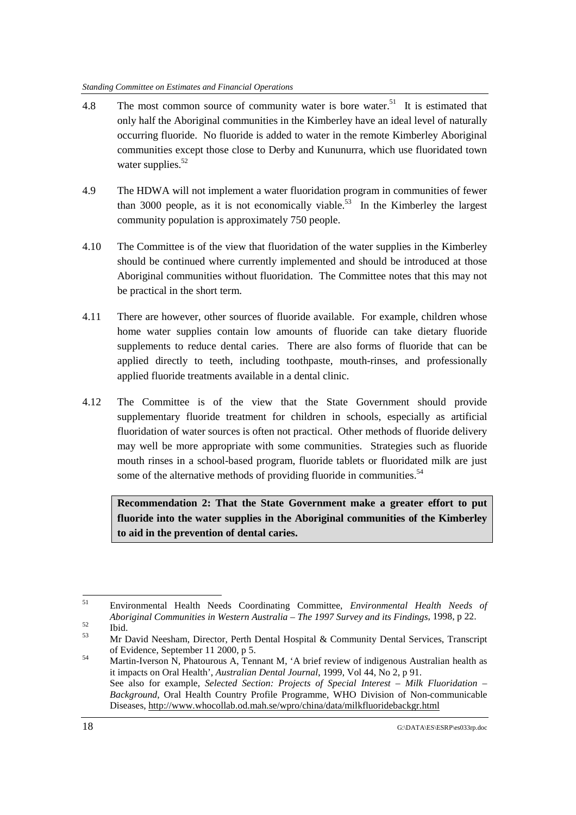#### *Standing Committee on Estimates and Financial Operations*

- 4.8 The most common source of community water is bore water.<sup>51</sup> It is estimated that only half the Aboriginal communities in the Kimberley have an ideal level of naturally occurring fluoride. No fluoride is added to water in the remote Kimberley Aboriginal communities except those close to Derby and Kununurra, which use fluoridated town water supplies. $52$
- 4.9 The HDWA will not implement a water fluoridation program in communities of fewer than 3000 people, as it is not economically viable.<sup>53</sup> In the Kimberley the largest community population is approximately 750 people.
- 4.10 The Committee is of the view that fluoridation of the water supplies in the Kimberley should be continued where currently implemented and should be introduced at those Aboriginal communities without fluoridation. The Committee notes that this may not be practical in the short term.
- 4.11 There are however, other sources of fluoride available. For example, children whose home water supplies contain low amounts of fluoride can take dietary fluoride supplements to reduce dental caries. There are also forms of fluoride that can be applied directly to teeth, including toothpaste, mouth-rinses, and professionally applied fluoride treatments available in a dental clinic.
- 4.12 The Committee is of the view that the State Government should provide supplementary fluoride treatment for children in schools, especially as artificial fluoridation of water sources is often not practical. Other methods of fluoride delivery may well be more appropriate with some communities. Strategies such as fluoride mouth rinses in a school-based program, fluoride tablets or fluoridated milk are just some of the alternative methods of providing fluoride in communities.<sup>54</sup>

**Recommendation 2: That the State Government make a greater effort to put fluoride into the water supplies in the Aboriginal communities of the Kimberley to aid in the prevention of dental caries.**

 $51$ 51 Environmental Health Needs Coordinating Committee, *Environmental Health Needs of Aboriginal Communities in Western Australia – The 1997 Survey and its Findings*, 1998, p 22.<br>
Ibid.<br>
M. D. (1997 Survey and its Findings, 1998, p 22.

<sup>53</sup> Mr David Neesham, Director, Perth Dental Hospital & Community Dental Services, Transcript of Evidence, September 11 2000, p 5.<br>Martin-Iverson N, Phatourous A, Tennant M, 'A brief review of indigenous Australian health as

it impacts on Oral Health', *Australian Dental Journal*, 1999, Vol 44, No 2, p 91. See also for example, *Selected Section: Projects of Special Interest – Milk Fluoridation – Background*, Oral Health Country Profile Programme, WHO Division of Non-communicable Diseases, http://www.whocollab.od.mah.se/wpro/china/data/milkfluoridebackgr.html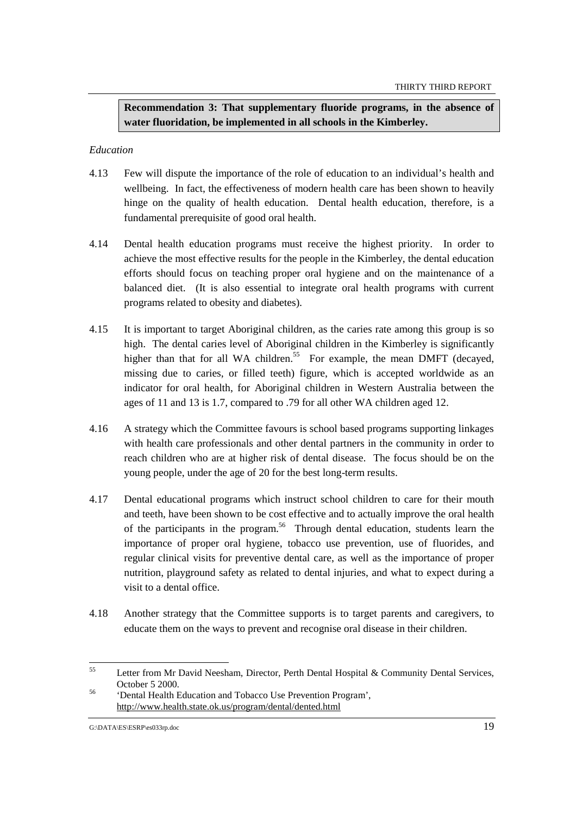**Recommendation 3: That supplementary fluoride programs, in the absence of water fluoridation, be implemented in all schools in the Kimberley.**

## *Education*

- 4.13 Few will dispute the importance of the role of education to an individual's health and wellbeing. In fact, the effectiveness of modern health care has been shown to heavily hinge on the quality of health education. Dental health education, therefore, is a fundamental prerequisite of good oral health.
- 4.14 Dental health education programs must receive the highest priority. In order to achieve the most effective results for the people in the Kimberley, the dental education efforts should focus on teaching proper oral hygiene and on the maintenance of a balanced diet. (It is also essential to integrate oral health programs with current programs related to obesity and diabetes).
- 4.15 It is important to target Aboriginal children, as the caries rate among this group is so high. The dental caries level of Aboriginal children in the Kimberley is significantly higher than that for all WA children.<sup>55</sup> For example, the mean DMFT (decayed, missing due to caries, or filled teeth) figure, which is accepted worldwide as an indicator for oral health, for Aboriginal children in Western Australia between the ages of 11 and 13 is 1.7, compared to .79 for all other WA children aged 12.
- 4.16 A strategy which the Committee favours is school based programs supporting linkages with health care professionals and other dental partners in the community in order to reach children who are at higher risk of dental disease. The focus should be on the young people, under the age of 20 for the best long-term results.
- 4.17 Dental educational programs which instruct school children to care for their mouth and teeth, have been shown to be cost effective and to actually improve the oral health of the participants in the program.<sup>56</sup> Through dental education, students learn the importance of proper oral hygiene, tobacco use prevention, use of fluorides, and regular clinical visits for preventive dental care, as well as the importance of proper nutrition, playground safety as related to dental injuries, and what to expect during a visit to a dental office.
- 4.18 Another strategy that the Committee supports is to target parents and caregivers, to educate them on the ways to prevent and recognise oral disease in their children.

<sup>55</sup> Letter from Mr David Neesham, Director, Perth Dental Hospital & Community Dental Services, October 5 2000. <sup>56</sup> 'Dental Health Education and Tobacco Use Prevention Program',

http://www.health.state.ok.us/program/dental/dented.html

G:\DATA\ES\ESRP\es033rp.doc 19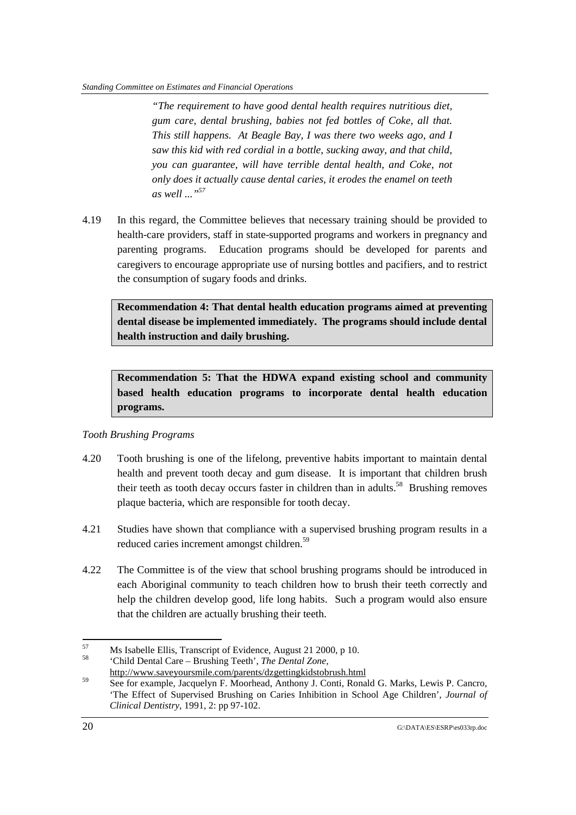#### *Standing Committee on Estimates and Financial Operations*

*"The requirement to have good dental health requires nutritious diet, gum care, dental brushing, babies not fed bottles of Coke, all that. This still happens. At Beagle Bay, I was there two weeks ago, and I saw this kid with red cordial in a bottle, sucking away, and that child, you can guarantee, will have terrible dental health, and Coke, not only does it actually cause dental caries, it erodes the enamel on teeth*  $as well$  ...<sup>57</sup>

4.19 In this regard, the Committee believes that necessary training should be provided to health-care providers, staff in state-supported programs and workers in pregnancy and parenting programs. Education programs should be developed for parents and caregivers to encourage appropriate use of nursing bottles and pacifiers, and to restrict the consumption of sugary foods and drinks.

**Recommendation 4: That dental health education programs aimed at preventing dental disease be implemented immediately. The programs should include dental health instruction and daily brushing.**

**Recommendation 5: That the HDWA expand existing school and community based health education programs to incorporate dental health education programs.**

# *Tooth Brushing Programs*

- 4.20 Tooth brushing is one of the lifelong, preventive habits important to maintain dental health and prevent tooth decay and gum disease. It is important that children brush their teeth as tooth decay occurs faster in children than in adults.<sup>58</sup> Brushing removes plaque bacteria, which are responsible for tooth decay.
- 4.21 Studies have shown that compliance with a supervised brushing program results in a reduced caries increment amongst children.<sup>59</sup>
- 4.22 The Committee is of the view that school brushing programs should be introduced in each Aboriginal community to teach children how to brush their teeth correctly and help the children develop good, life long habits. Such a program would also ensure that the children are actually brushing their teeth.

<sup>57</sup> <sup>57</sup> Ms Isabelle Ellis, Transcript of Evidence, August 21 2000, p 10.

<sup>58</sup> 'Child Dental Care – Brushing Teeth', *The Dental Zone,*

http://www.saveyoursmile.com/parents/dzgettingkidstobrush.html

<sup>&</sup>lt;sup>59</sup> See for example, Jacquelyn F. Moorhead, Anthony J. Conti, Ronald G. Marks, Lewis P. Cancro, 'The Effect of Supervised Brushing on Caries Inhibition in School Age Children'*, Journal of Clinical Dentistry*, 1991, 2: pp 97-102.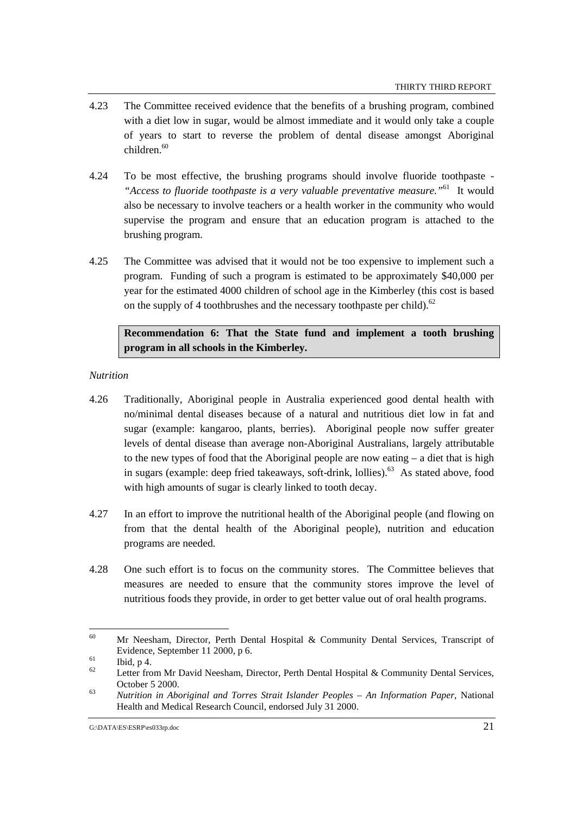- 4.23 The Committee received evidence that the benefits of a brushing program, combined with a diet low in sugar, would be almost immediate and it would only take a couple of years to start to reverse the problem of dental disease amongst Aboriginal  $children$ <sup>60</sup>
- 4.24 To be most effective, the brushing programs should involve fluoride toothpaste *"Access to fluoride toothpaste is a very valuable preventative measure."*61 It would also be necessary to involve teachers or a health worker in the community who would supervise the program and ensure that an education program is attached to the brushing program.
- 4.25 The Committee was advised that it would not be too expensive to implement such a program. Funding of such a program is estimated to be approximately \$40,000 per year for the estimated 4000 children of school age in the Kimberley (this cost is based on the supply of 4 toothbrushes and the necessary toothpaste per child). $62$

**Recommendation 6: That the State fund and implement a tooth brushing program in all schools in the Kimberley.**

## *Nutrition*

- 4.26 Traditionally, Aboriginal people in Australia experienced good dental health with no/minimal dental diseases because of a natural and nutritious diet low in fat and sugar (example: kangaroo, plants, berries). Aboriginal people now suffer greater levels of dental disease than average non-Aboriginal Australians, largely attributable to the new types of food that the Aboriginal people are now eating – a diet that is high in sugars (example: deep fried takeaways, soft-drink, lollies).<sup>63</sup> As stated above, food with high amounts of sugar is clearly linked to tooth decay.
- 4.27 In an effort to improve the nutritional health of the Aboriginal people (and flowing on from that the dental health of the Aboriginal people), nutrition and education programs are needed.
- 4.28 One such effort is to focus on the community stores. The Committee believes that measures are needed to ensure that the community stores improve the level of nutritious foods they provide, in order to get better value out of oral health programs.

<sup>60</sup> 60 Mr Neesham, Director, Perth Dental Hospital & Community Dental Services, Transcript of Evidence, September 11 2000, p 6. 61 Ibid, p 4.

Letter from Mr David Neesham, Director, Perth Dental Hospital & Community Dental Services, October 5 2000. <sup>63</sup> *Nutrition in Aboriginal and Torres Strait Islander Peoples – An Information Paper*, National

Health and Medical Research Council, endorsed July 31 2000.

G:\DATA\ES\ESRP\es033rp.doc 21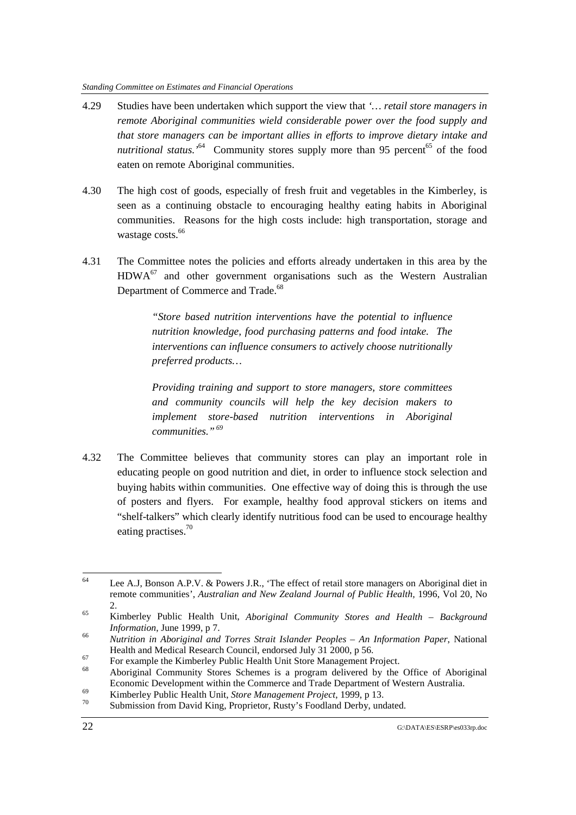- 4.29 Studies have been undertaken which support the view that *'… retail store managers in remote Aboriginal communities wield considerable power over the food supply and that store managers can be important allies in efforts to improve dietary intake and* nutritional status.<sup>54</sup> Community stores supply more than 95 percent<sup>65</sup> of the food eaten on remote Aboriginal communities.
- 4.30 The high cost of goods, especially of fresh fruit and vegetables in the Kimberley, is seen as a continuing obstacle to encouraging healthy eating habits in Aboriginal communities. Reasons for the high costs include: high transportation, storage and wastage costs.<sup>66</sup>
- 4.31 The Committee notes the policies and efforts already undertaken in this area by the  $HDWA<sup>67</sup>$  and other government organisations such as the Western Australian Department of Commerce and Trade.<sup>68</sup>

*"Store based nutrition interventions have the potential to influence nutrition knowledge, food purchasing patterns and food intake. The interventions can influence consumers to actively choose nutritionally preferred products…*

*Providing training and support to store managers, store committees and community councils will help the key decision makers to implement store-based nutrition interventions in Aboriginal communities." 69*

4.32 The Committee believes that community stores can play an important role in educating people on good nutrition and diet, in order to influence stock selection and buying habits within communities. One effective way of doing this is through the use of posters and flyers. For example, healthy food approval stickers on items and "shelf-talkers" which clearly identify nutritious food can be used to encourage healthy eating practises.<sup>70</sup>

<sup>64</sup> Lee A.J, Bonson A.P.V. & Powers J.R., 'The effect of retail store managers on Aboriginal diet in remote communities', *Australian and New Zealand Journal of Public Health,* 1996, Vol 20, No

<sup>&</sup>lt;sup>65</sup> Kimberley Public Health Unit, *Aboriginal Community Stores and Health – Background Information*, June 1999, p 7.<br><sup>66</sup> *Nutrition in Aboriginal and Torres Strait Islander Peoples – An Information Paper*, National

Health and Medical Research Council, endorsed July 31 2000, p 56.<br>For example the Kimberley Public Health Unit Store Management Project.

Aboriginal Community Stores Schemes is a program delivered by the Office of Aboriginal Economic Development within the Commerce and Trade Department of Western Australia.<br>
Kimberley Public Health Unit, *Store Management Project*, 1999, p 13.<br>
Submission from David King, Proprietor, Rusty's Foodland Derby, un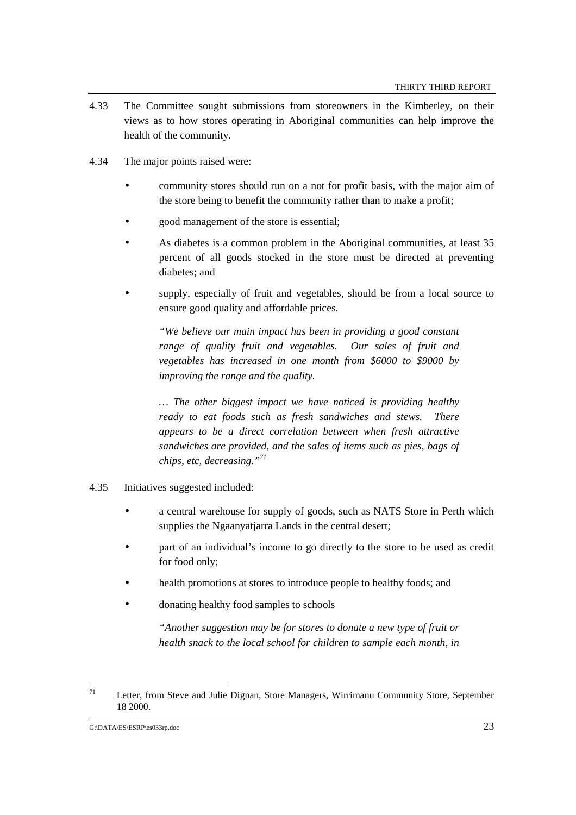- 4.33 The Committee sought submissions from storeowners in the Kimberley, on their views as to how stores operating in Aboriginal communities can help improve the health of the community.
- 4.34 The major points raised were:
	- community stores should run on a not for profit basis, with the major aim of the store being to benefit the community rather than to make a profit;
	- good management of the store is essential;
	- As diabetes is a common problem in the Aboriginal communities, at least 35 percent of all goods stocked in the store must be directed at preventing diabetes; and
	- supply, especially of fruit and vegetables, should be from a local source to ensure good quality and affordable prices.

*"We believe our main impact has been in providing a good constant range of quality fruit and vegetables. Our sales of fruit and vegetables has increased in one month from \$6000 to \$9000 by improving the range and the quality.*

*… The other biggest impact we have noticed is providing healthy ready to eat foods such as fresh sandwiches and stews. There appears to be a direct correlation between when fresh attractive sandwiches are provided, and the sales of items such as pies, bags of chips, etc, decreasing."71*

- 4.35 Initiatives suggested included:
	- a central warehouse for supply of goods, such as NATS Store in Perth which supplies the Ngaanyatjarra Lands in the central desert;
	- part of an individual's income to go directly to the store to be used as credit for food only;
	- health promotions at stores to introduce people to healthy foods; and
	- donating healthy food samples to schools

*"Another suggestion may be for stores to donate a new type of fruit or health snack to the local school for children to sample each month, in*

<sup>71</sup> Letter, from Steve and Julie Dignan, Store Managers, Wirrimanu Community Store, September 18 2000.

G:\DATA\ES\ESRP\es033rp.doc 23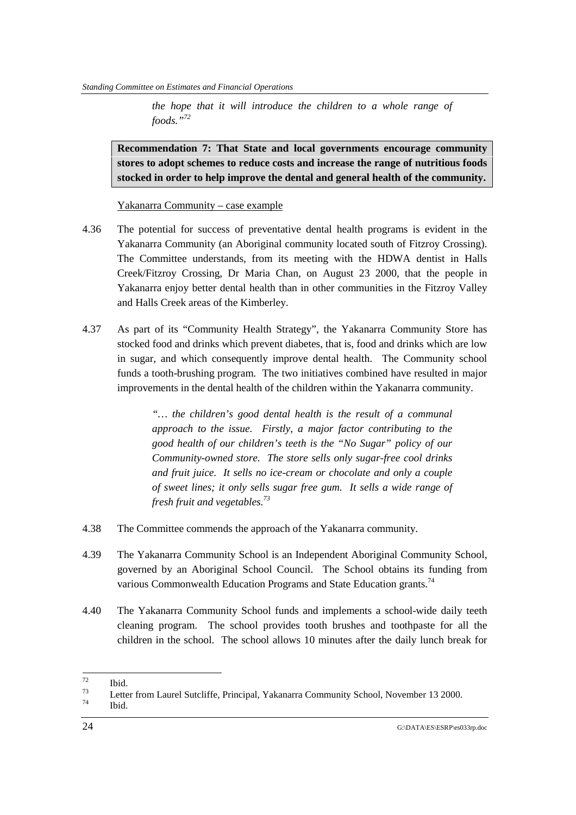*the hope that it will introduce the children to a whole range of foods."72*

**Recommendation 7: That State and local governments encourage community stores to adopt schemes to reduce costs and increase the range of nutritious foods stocked in order to help improve the dental and general health of the community.**

Yakanarra Community – case example

- 4.36 The potential for success of preventative dental health programs is evident in the Yakanarra Community (an Aboriginal community located south of Fitzroy Crossing). The Committee understands, from its meeting with the HDWA dentist in Halls Creek/Fitzroy Crossing, Dr Maria Chan, on August 23 2000, that the people in Yakanarra enjoy better dental health than in other communities in the Fitzroy Valley and Halls Creek areas of the Kimberley.
- 4.37 As part of its "Community Health Strategy", the Yakanarra Community Store has stocked food and drinks which prevent diabetes, that is, food and drinks which are low in sugar, and which consequently improve dental health. The Community school funds a tooth-brushing program. The two initiatives combined have resulted in major improvements in the dental health of the children within the Yakanarra community.

*"… the children's good dental health is the result of a communal approach to the issue. Firstly, a major factor contributing to the good health of our children's teeth is the "No Sugar" policy of our Community-owned store. The store sells only sugar-free cool drinks and fruit juice. It sells no ice-cream or chocolate and only a couple of sweet lines; it only sells sugar free gum. It sells a wide range of fresh fruit and vegetables.73*

- 4.38 The Committee commends the approach of the Yakanarra community.
- 4.39 The Yakanarra Community School is an Independent Aboriginal Community School, governed by an Aboriginal School Council. The School obtains its funding from various Commonwealth Education Programs and State Education grants.<sup>74</sup>
- 4.40 The Yakanarra Community School funds and implements a school-wide daily teeth cleaning program. The school provides tooth brushes and toothpaste for all the children in the school. The school allows 10 minutes after the daily lunch break for

<sup>72</sup>  $\frac{72}{73}$  Ibid.

<sup>&</sup>lt;sup>73</sup> Letter from Laurel Sutcliffe, Principal, Yakanarra Community School, November 13 2000.<br> $\frac{74}{1114}$ 

Ibid.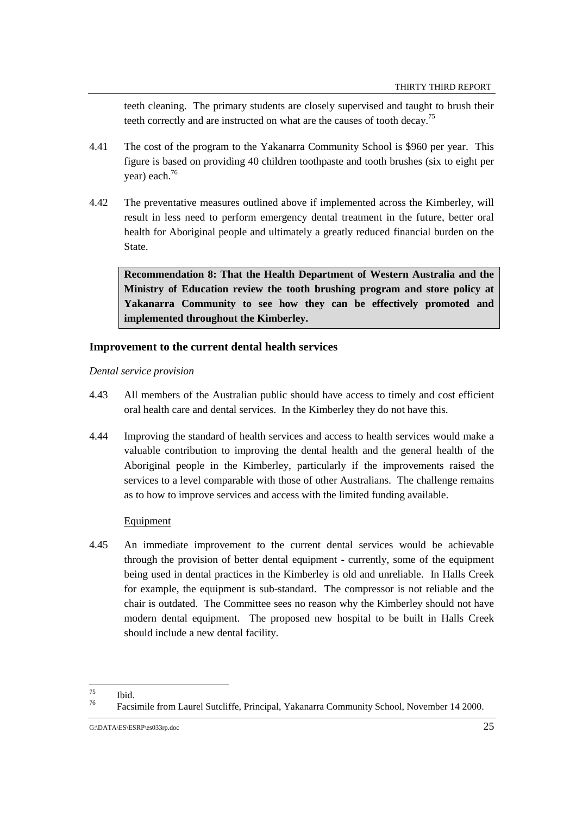teeth cleaning. The primary students are closely supervised and taught to brush their teeth correctly and are instructed on what are the causes of tooth decay.<sup>75</sup>

- 4.41 The cost of the program to the Yakanarra Community School is \$960 per year. This figure is based on providing 40 children toothpaste and tooth brushes (six to eight per year) each.76
- 4.42 The preventative measures outlined above if implemented across the Kimberley, will result in less need to perform emergency dental treatment in the future, better oral health for Aboriginal people and ultimately a greatly reduced financial burden on the State.

**Recommendation 8: That the Health Department of Western Australia and the Ministry of Education review the tooth brushing program and store policy at Yakanarra Community to see how they can be effectively promoted and implemented throughout the Kimberley.**

# **Improvement to the current dental health services**

*Dental service provision*

- 4.43 All members of the Australian public should have access to timely and cost efficient oral health care and dental services. In the Kimberley they do not have this.
- 4.44 Improving the standard of health services and access to health services would make a valuable contribution to improving the dental health and the general health of the Aboriginal people in the Kimberley, particularly if the improvements raised the services to a level comparable with those of other Australians. The challenge remains as to how to improve services and access with the limited funding available.

## **Equipment**

4.45 An immediate improvement to the current dental services would be achievable through the provision of better dental equipment - currently, some of the equipment being used in dental practices in the Kimberley is old and unreliable. In Halls Creek for example, the equipment is sub-standard. The compressor is not reliable and the chair is outdated. The Committee sees no reason why the Kimberley should not have modern dental equipment. The proposed new hospital to be built in Halls Creek should include a new dental facility.

<sup>75</sup>  $\frac{75}{76}$  Ibid.

<sup>76</sup> Facsimile from Laurel Sutcliffe, Principal, Yakanarra Community School, November 14 2000.

G:\DATA\ES\ESRP\es033rp.doc 25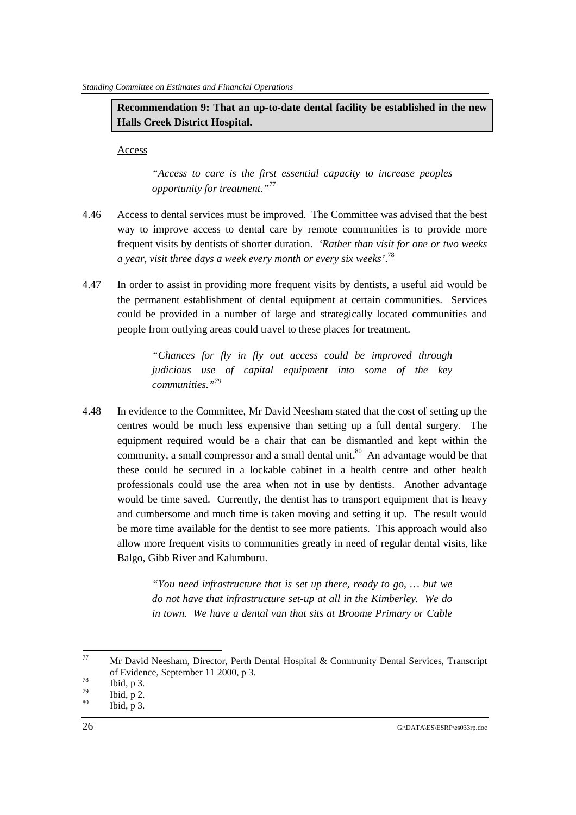**Recommendation 9: That an up-to-date dental facility be established in the new Halls Creek District Hospital.**

Access

*"Access to care is the first essential capacity to increase peoples opportunity for treatment."77*

- 4.46 Access to dental services must be improved. The Committee was advised that the best way to improve access to dental care by remote communities is to provide more frequent visits by dentists of shorter duration. *'Rather than visit for one or two weeks a year, visit three days a week every month or every six weeks'*. 78
- 4.47 In order to assist in providing more frequent visits by dentists, a useful aid would be the permanent establishment of dental equipment at certain communities. Services could be provided in a number of large and strategically located communities and people from outlying areas could travel to these places for treatment.

*"Chances for fly in fly out access could be improved through judicious use of capital equipment into some of the key communities."79*

4.48 In evidence to the Committee, Mr David Neesham stated that the cost of setting up the centres would be much less expensive than setting up a full dental surgery. The equipment required would be a chair that can be dismantled and kept within the community, a small compressor and a small dental unit.<sup>80</sup> An advantage would be that these could be secured in a lockable cabinet in a health centre and other health professionals could use the area when not in use by dentists. Another advantage would be time saved. Currently, the dentist has to transport equipment that is heavy and cumbersome and much time is taken moving and setting it up. The result would be more time available for the dentist to see more patients. This approach would also allow more frequent visits to communities greatly in need of regular dental visits, like Balgo, Gibb River and Kalumburu.

> *"You need infrastructure that is set up there, ready to go, … but we do not have that infrastructure set-up at all in the Kimberley. We do in town. We have a dental van that sits at Broome Primary or Cable*

 $77$ Mr David Neesham, Director, Perth Dental Hospital & Community Dental Services, Transcript of Evidence, September 11 2000, p 3.<br>
Thid, p 3.<br>  $\frac{78}{7}$  Ibid, p 3.

 $\begin{array}{cc}\n\frac{79}{80} & \text{Ibid, p 2.} \\
\text{Iii, p 3}\n\end{array}$ 

Ibid,  $p$  3.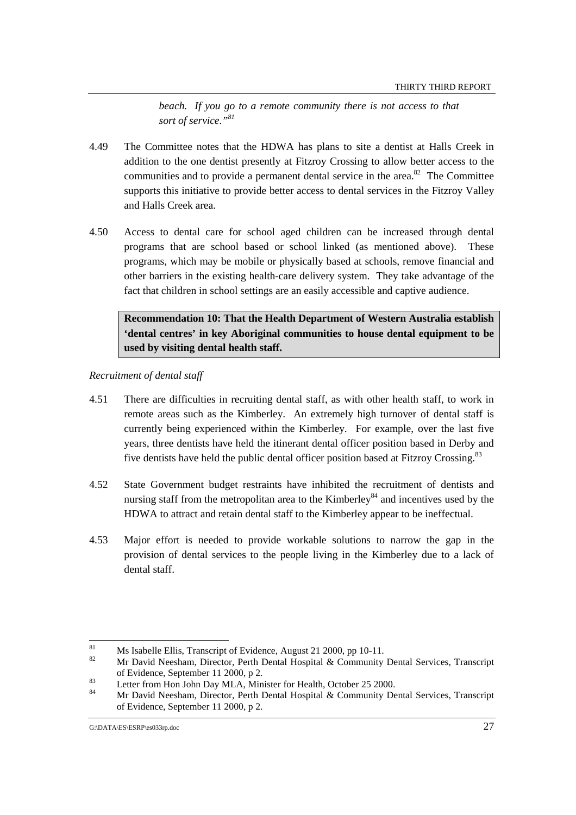*beach. If you go to a remote community there is not access to that sort of service."81*

- 4.49 The Committee notes that the HDWA has plans to site a dentist at Halls Creek in addition to the one dentist presently at Fitzroy Crossing to allow better access to the communities and to provide a permanent dental service in the area.<sup>82</sup> The Committee supports this initiative to provide better access to dental services in the Fitzroy Valley and Halls Creek area.
- 4.50 Access to dental care for school aged children can be increased through dental programs that are school based or school linked (as mentioned above). These programs, which may be mobile or physically based at schools, remove financial and other barriers in the existing health-care delivery system. They take advantage of the fact that children in school settings are an easily accessible and captive audience.

**Recommendation 10: That the Health Department of Western Australia establish 'dental centres' in key Aboriginal communities to house dental equipment to be used by visiting dental health staff.**

*Recruitment of dental staff*

- 4.51 There are difficulties in recruiting dental staff, as with other health staff, to work in remote areas such as the Kimberley. An extremely high turnover of dental staff is currently being experienced within the Kimberley. For example, over the last five years, three dentists have held the itinerant dental officer position based in Derby and five dentists have held the public dental officer position based at Fitzroy Crossing.<sup>83</sup>
- 4.52 State Government budget restraints have inhibited the recruitment of dentists and nursing staff from the metropolitan area to the Kimberley<sup>84</sup> and incentives used by the HDWA to attract and retain dental staff to the Kimberley appear to be ineffectual.
- 4.53 Major effort is needed to provide workable solutions to narrow the gap in the provision of dental services to the people living in the Kimberley due to a lack of dental staff.

<sup>81</sup> <sup>81</sup> Ms Isabelle Ellis, Transcript of Evidence, August 21 2000, pp 10-11.

<sup>82</sup> Mr David Neesham, Director, Perth Dental Hospital & Community Dental Services, Transcript

of Evidence, September 11 2000, p 2.<br>
Letter from Hon John Day MLA, Minister for Health, October 25 2000.

<sup>84</sup> Mr David Neesham, Director, Perth Dental Hospital & Community Dental Services, Transcript of Evidence, September 11 2000, p 2.

G:\DATA\ES\ESRP\es033rp.doc 27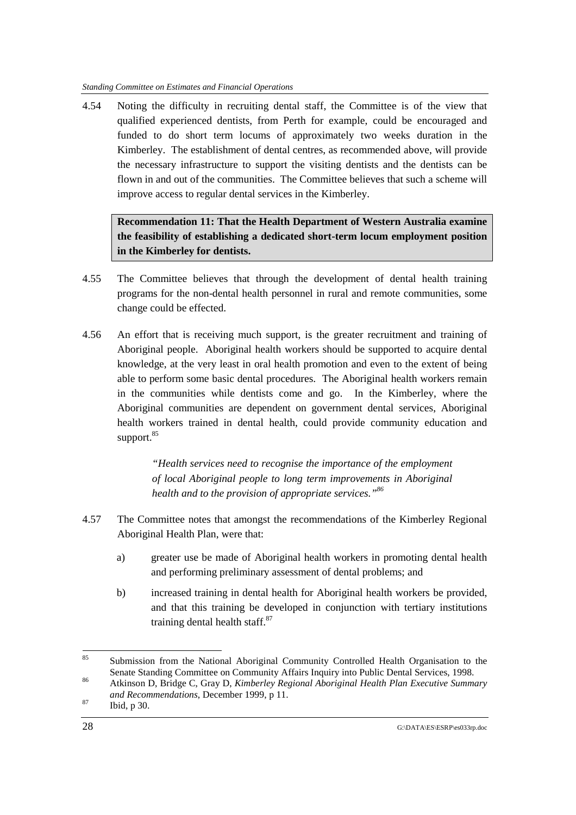4.54 Noting the difficulty in recruiting dental staff, the Committee is of the view that qualified experienced dentists, from Perth for example, could be encouraged and funded to do short term locums of approximately two weeks duration in the Kimberley. The establishment of dental centres, as recommended above, will provide the necessary infrastructure to support the visiting dentists and the dentists can be flown in and out of the communities. The Committee believes that such a scheme will improve access to regular dental services in the Kimberley.

**Recommendation 11: That the Health Department of Western Australia examine the feasibility of establishing a dedicated short-term locum employment position in the Kimberley for dentists.**

- 4.55 The Committee believes that through the development of dental health training programs for the non-dental health personnel in rural and remote communities, some change could be effected.
- 4.56 An effort that is receiving much support, is the greater recruitment and training of Aboriginal people. Aboriginal health workers should be supported to acquire dental knowledge, at the very least in oral health promotion and even to the extent of being able to perform some basic dental procedures. The Aboriginal health workers remain in the communities while dentists come and go. In the Kimberley, where the Aboriginal communities are dependent on government dental services, Aboriginal health workers trained in dental health, could provide community education and support.<sup>85</sup>

*"Health services need to recognise the importance of the employment of local Aboriginal people to long term improvements in Aboriginal health and to the provision of appropriate services."86*

- 4.57 The Committee notes that amongst the recommendations of the Kimberley Regional Aboriginal Health Plan, were that:
	- a) greater use be made of Aboriginal health workers in promoting dental health and performing preliminary assessment of dental problems; and
	- b) increased training in dental health for Aboriginal health workers be provided, and that this training be developed in conjunction with tertiary institutions training dental health staff.<sup>87</sup>

 $85$ Submission from the National Aboriginal Community Controlled Health Organisation to the Senate Standing Committee on Community Affairs Inquiry into Public Dental Services, 1998.

<sup>&</sup>lt;sup>86</sup> Atkinson D, Bridge C, Gray D, *Kimberley Regional Aboriginal Health Plan Executive Summary and Recommendations*, December 1999, p 11.<br><sup>87</sup> Ibid, p 30.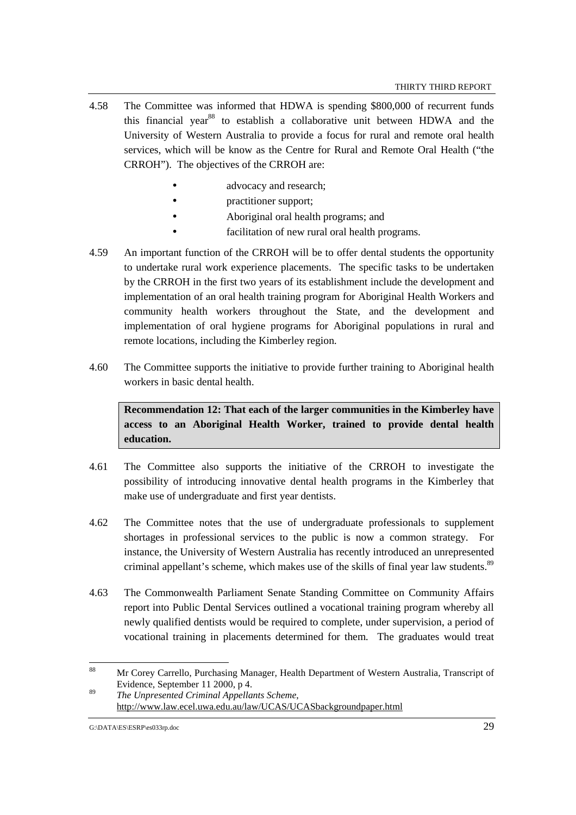- 4.58 The Committee was informed that HDWA is spending \$800,000 of recurrent funds this financial year<sup>88</sup> to establish a collaborative unit between HDWA and the University of Western Australia to provide a focus for rural and remote oral health services, which will be know as the Centre for Rural and Remote Oral Health ("the CRROH"). The objectives of the CRROH are:
	- advocacy and research;
	- *practitioner support*;
	- Aboriginal oral health programs; and
	- facilitation of new rural oral health programs.
- 4.59 An important function of the CRROH will be to offer dental students the opportunity to undertake rural work experience placements. The specific tasks to be undertaken by the CRROH in the first two years of its establishment include the development and implementation of an oral health training program for Aboriginal Health Workers and community health workers throughout the State, and the development and implementation of oral hygiene programs for Aboriginal populations in rural and remote locations, including the Kimberley region.
- 4.60 The Committee supports the initiative to provide further training to Aboriginal health workers in basic dental health.

**Recommendation 12: That each of the larger communities in the Kimberley have access to an Aboriginal Health Worker, trained to provide dental health education.**

- 4.61 The Committee also supports the initiative of the CRROH to investigate the possibility of introducing innovative dental health programs in the Kimberley that make use of undergraduate and first year dentists.
- 4.62 The Committee notes that the use of undergraduate professionals to supplement shortages in professional services to the public is now a common strategy. For instance, the University of Western Australia has recently introduced an unrepresented criminal appellant's scheme, which makes use of the skills of final year law students.<sup>89</sup>
- 4.63 The Commonwealth Parliament Senate Standing Committee on Community Affairs report into Public Dental Services outlined a vocational training program whereby all newly qualified dentists would be required to complete, under supervision, a period of vocational training in placements determined for them. The graduates would treat

 $88$ 88 Mr Corey Carrello, Purchasing Manager, Health Department of Western Australia, Transcript of Evidence, September 11 2000, p 4.

<sup>89</sup> *The Unpresented Criminal Appellants Scheme*, http://www.law.ecel.uwa.edu.au/law/UCAS/UCASbackgroundpaper.html

G:\DATA\ES\ESRP\es033rp.doc 29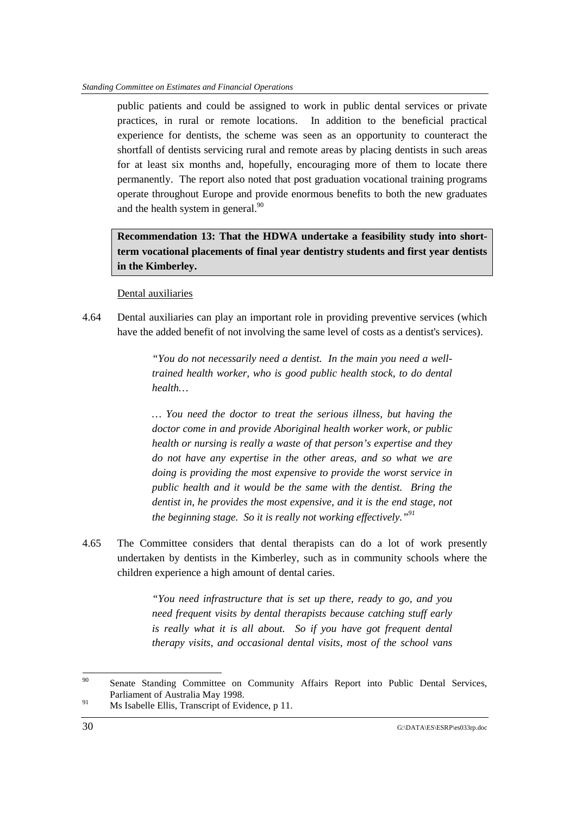public patients and could be assigned to work in public dental services or private practices, in rural or remote locations. In addition to the beneficial practical experience for dentists, the scheme was seen as an opportunity to counteract the shortfall of dentists servicing rural and remote areas by placing dentists in such areas for at least six months and, hopefully, encouraging more of them to locate there permanently. The report also noted that post graduation vocational training programs operate throughout Europe and provide enormous benefits to both the new graduates and the health system in general.<sup>90</sup>

**Recommendation 13: That the HDWA undertake a feasibility study into shortterm vocational placements of final year dentistry students and first year dentists in the Kimberley.**

# Dental auxiliaries

4.64 Dental auxiliaries can play an important role in providing preventive services (which have the added benefit of not involving the same level of costs as a dentist's services).

> *"You do not necessarily need a dentist. In the main you need a welltrained health worker, who is good public health stock, to do dental health…*

> *… You need the doctor to treat the serious illness, but having the doctor come in and provide Aboriginal health worker work, or public health or nursing is really a waste of that person's expertise and they do not have any expertise in the other areas, and so what we are doing is providing the most expensive to provide the worst service in public health and it would be the same with the dentist. Bring the dentist in, he provides the most expensive, and it is the end stage, not the beginning stage. So it is really not working effectively."91*

4.65 The Committee considers that dental therapists can do a lot of work presently undertaken by dentists in the Kimberley, such as in community schools where the children experience a high amount of dental caries.

> *"You need infrastructure that is set up there, ready to go, and you need frequent visits by dental therapists because catching stuff early is really what it is all about. So if you have got frequent dental therapy visits, and occasional dental visits, most of the school vans*

<sup>90</sup> Senate Standing Committee on Community Affairs Report into Public Dental Services, Parliament of Australia May 1998.

<sup>&</sup>lt;sup>91</sup> Ms Isabelle Ellis, Transcript of Evidence, p 11.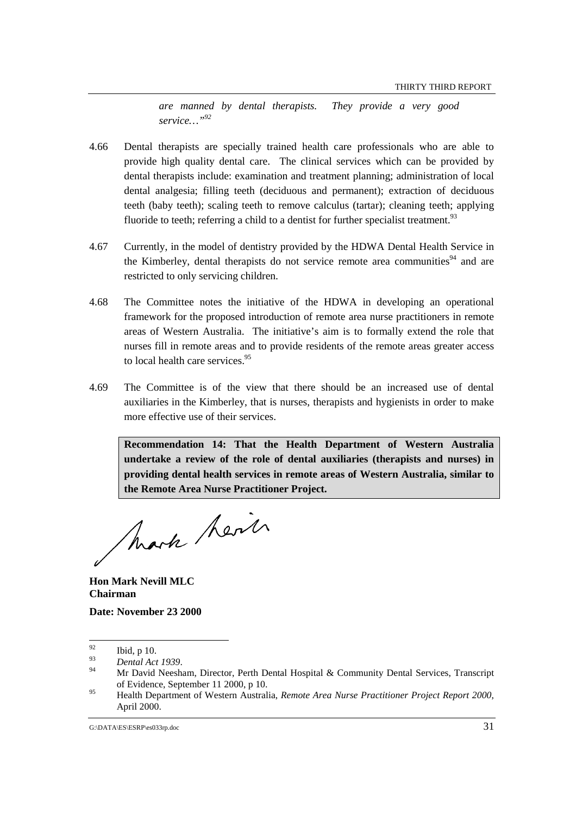*are manned by dental therapists. They provide a very good service…"92*

- 4.66 Dental therapists are specially trained health care professionals who are able to provide high quality dental care. The clinical services which can be provided by dental therapists include: examination and treatment planning; administration of local dental analgesia; filling teeth (deciduous and permanent); extraction of deciduous teeth (baby teeth); scaling teeth to remove calculus (tartar); cleaning teeth; applying fluoride to teeth; referring a child to a dentist for further specialist treatment.<sup>93</sup>
- 4.67 Currently, in the model of dentistry provided by the HDWA Dental Health Service in the Kimberley, dental therapists do not service remote area communities $94$  and are restricted to only servicing children.
- 4.68 The Committee notes the initiative of the HDWA in developing an operational framework for the proposed introduction of remote area nurse practitioners in remote areas of Western Australia. The initiative's aim is to formally extend the role that nurses fill in remote areas and to provide residents of the remote areas greater access to local health care services.<sup>95</sup>
- 4.69 The Committee is of the view that there should be an increased use of dental auxiliaries in the Kimberley, that is nurses, therapists and hygienists in order to make more effective use of their services.

**Recommendation 14: That the Health Department of Western Australia undertake a review of the role of dental auxiliaries (therapists and nurses) in providing dental health services in remote areas of Western Australia, similar to the Remote Area Nurse Practitioner Project.**

Mark Revil

**Hon Mark Nevill MLC Chairman**

**Date: November 23 2000**

<sup>92</sup>  $\frac{92}{93}$  Ibid, p 10.

<sup>93</sup> *Dental Act 1939*. 94 Mr David Neesham, Director, Perth Dental Hospital & Community Dental Services, Transcript of Evidence, September 11 2000, p 10.

<sup>95</sup> Health Department of Western Australia, *Remote Area Nurse Practitioner Project Report 2000*, April 2000.

G:\DATA\ES\ESRP\es033rp.doc 31